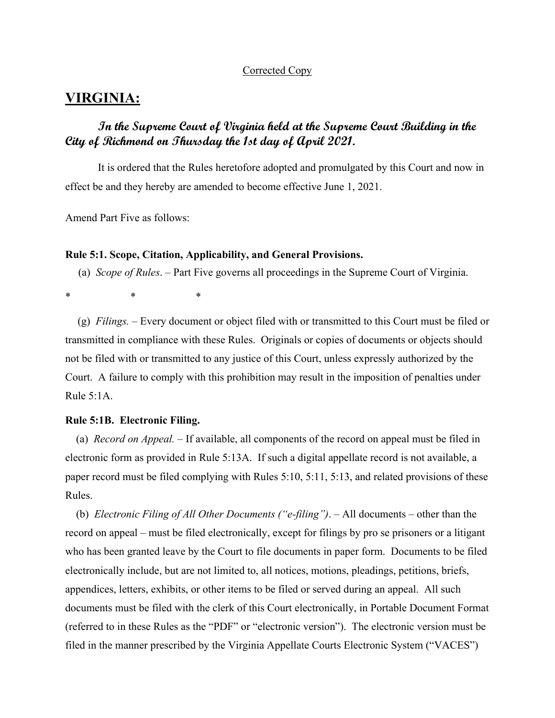## Corrected Copy

# **VIRGINIA:**

# **In the Supreme Court of Virginia held at the Supreme Court Building in the City of Richmond on Thursday the 1st day of April 2021.**

 It is ordered that the Rules heretofore adopted and promulgated by this Court and now in effect be and they hereby are amended to become effective June 1, 2021.

Amend Part Five as follows:

#### **Rule 5:1. Scope, Citation, Applicability, and General Provisions.**

(a) *Scope of Rules*. ‒ Part Five governs all proceedings in the Supreme Court of Virginia.

\* \* \*

(g) *Filings. ‒* Every document or object filed with or transmitted to this Court must be filed or transmitted in compliance with these Rules. Originals or copies of documents or objects should not be filed with or transmitted to any justice of this Court, unless expressly authorized by the Court. A failure to comply with this prohibition may result in the imposition of penalties under Rule 5:1A.

# **Rule 5:1B. Electronic Filing.**

 (a) *Record on Appeal. –* If available, all components of the record on appeal must be filed in electronic form as provided in Rule 5:13A. If such a digital appellate record is not available, a paper record must be filed complying with Rules 5:10, 5:11, 5:13, and related provisions of these Rules.

 (b) *Electronic Filing of All Other Documents ("e-filing")*. ‒ All documents – other than the record on appeal – must be filed electronically, except for filings by pro se prisoners or a litigant who has been granted leave by the Court to file documents in paper form. Documents to be filed electronically include, but are not limited to, all notices, motions, pleadings, petitions, briefs, appendices, letters, exhibits, or other items to be filed or served during an appeal. All such documents must be filed with the clerk of this Court electronically, in Portable Document Format (referred to in these Rules as the "PDF" or "electronic version"). The electronic version must be filed in the manner prescribed by the Virginia Appellate Courts Electronic System ("VACES")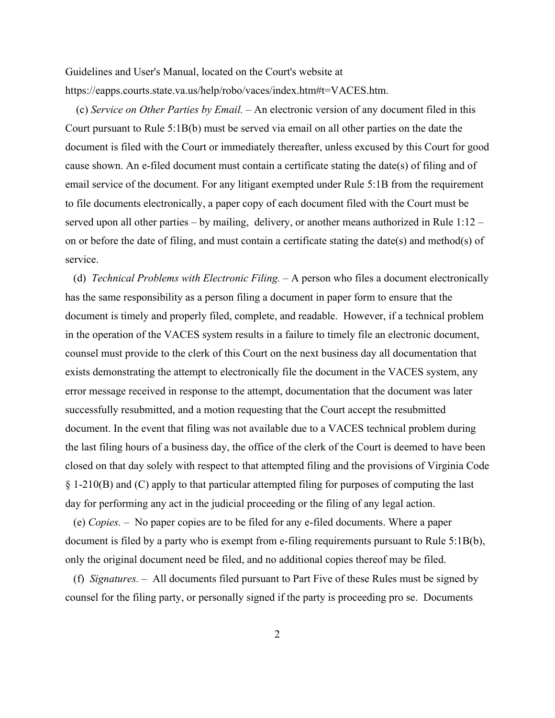Guidelines and User's Manual, located on the Court's website at https://eapps.courts.state.va.us/help/robo/vaces/index.htm#t=VACES.htm.

 (c) *Service on Other Parties by Email. –* An electronic version of any document filed in this Court pursuant to Rule 5:1B(b) must be served via email on all other parties on the date the document is filed with the Court or immediately thereafter, unless excused by this Court for good cause shown. An e-filed document must contain a certificate stating the date(s) of filing and of email service of the document. For any litigant exempted under Rule 5:1B from the requirement to file documents electronically, a paper copy of each document filed with the Court must be served upon all other parties – by mailing, delivery, or another means authorized in Rule 1:12 – on or before the date of filing, and must contain a certificate stating the date(s) and method(s) of service.

 (d) *Technical Problems with Electronic Filing.* – A person who files a document electronically has the same responsibility as a person filing a document in paper form to ensure that the document is timely and properly filed, complete, and readable. However, if a technical problem in the operation of the VACES system results in a failure to timely file an electronic document, counsel must provide to the clerk of this Court on the next business day all documentation that exists demonstrating the attempt to electronically file the document in the VACES system, any error message received in response to the attempt, documentation that the document was later successfully resubmitted, and a motion requesting that the Court accept the resubmitted document. In the event that filing was not available due to a VACES technical problem during the last filing hours of a business day, the office of the clerk of the Court is deemed to have been closed on that day solely with respect to that attempted filing and the provisions of Virginia Code § 1-210(B) and (C) apply to that particular attempted filing for purposes of computing the last day for performing any act in the judicial proceeding or the filing of any legal action.

 (e) *Copies.* – No paper copies are to be filed for any e-filed documents. Where a paper document is filed by a party who is exempt from e-filing requirements pursuant to Rule 5:1B(b), only the original document need be filed, and no additional copies thereof may be filed.

 (f) *Signatures. –* All documents filed pursuant to Part Five of these Rules must be signed by counsel for the filing party, or personally signed if the party is proceeding pro se. Documents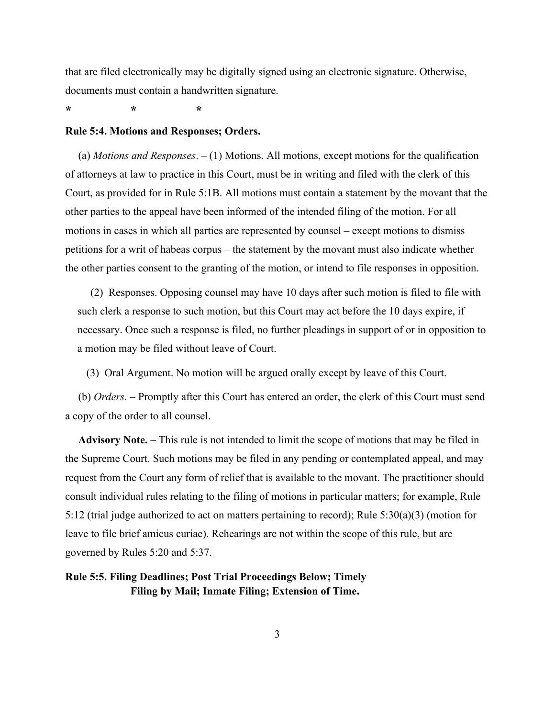that are filed electronically may be digitally signed using an electronic signature. Otherwise, documents must contain a handwritten signature.

**\* \* \***

#### **Rule 5:4. Motions and Responses; Orders.**

(a) *Motions and Responses*. – (1) Motions. All motions, except motions for the qualification of attorneys at law to practice in this Court, must be in writing and filed with the clerk of this Court, as provided for in Rule 5:1B. All motions must contain a statement by the movant that the other parties to the appeal have been informed of the intended filing of the motion. For all motions in cases in which all parties are represented by counsel – except motions to dismiss petitions for a writ of habeas corpus – the statement by the movant must also indicate whether the other parties consent to the granting of the motion, or intend to file responses in opposition.

(2) Responses. Opposing counsel may have 10 days after such motion is filed to file with such clerk a response to such motion, but this Court may act before the 10 days expire, if necessary. Once such a response is filed, no further pleadings in support of or in opposition to a motion may be filed without leave of Court.

(3) Oral Argument. No motion will be argued orally except by leave of this Court.

(b) *Orders.* ‒ Promptly after this Court has entered an order, the clerk of this Court must send a copy of the order to all counsel.

Advisory Note. – This rule is not intended to limit the scope of motions that may be filed in the Supreme Court. Such motions may be filed in any pending or contemplated appeal, and may request from the Court any form of relief that is available to the movant. The practitioner should consult individual rules relating to the filing of motions in particular matters; for example, Rule 5:12 (trial judge authorized to act on matters pertaining to record); Rule  $5:30(a)(3)$  (motion for leave to file brief amicus curiae). Rehearings are not within the scope of this rule, but are governed by Rules 5:20 and 5:37.

# **Rule 5:5. Filing Deadlines; Post Trial Proceedings Below; Timely Filing by Mail; Inmate Filing; Extension of Time.**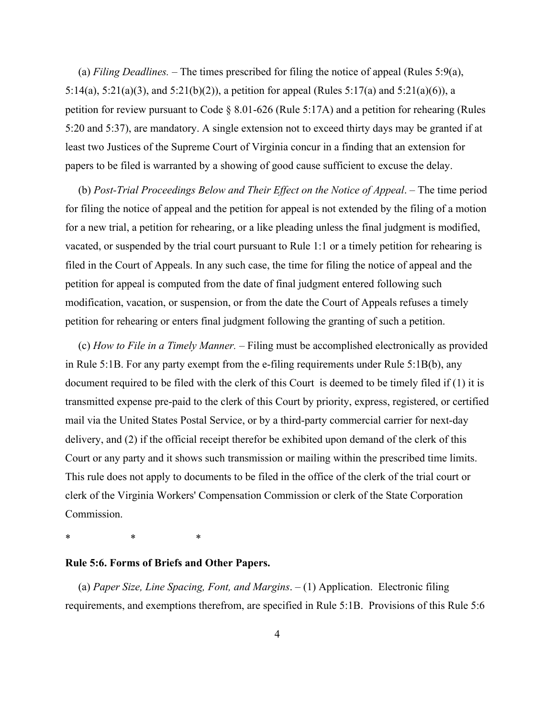(a) *Filing Deadlines.*  $-$  The times prescribed for filing the notice of appeal (Rules 5:9(a), 5:14(a), 5:21(a)(3), and 5:21(b)(2)), a petition for appeal (Rules 5:17(a) and 5:21(a)(6)), a petition for review pursuant to Code § 8.01-626 (Rule 5:17A) and a petition for rehearing (Rules 5:20 and 5:37), are mandatory. A single extension not to exceed thirty days may be granted if at least two Justices of the Supreme Court of Virginia concur in a finding that an extension for papers to be filed is warranted by a showing of good cause sufficient to excuse the delay.

(b) *Post-Trial Proceedings Below and Their Effect on the Notice of Appeal*. ‒ The time period for filing the notice of appeal and the petition for appeal is not extended by the filing of a motion for a new trial, a petition for rehearing, or a like pleading unless the final judgment is modified, vacated, or suspended by the trial court pursuant to Rule 1:1 or a timely petition for rehearing is filed in the Court of Appeals. In any such case, the time for filing the notice of appeal and the petition for appeal is computed from the date of final judgment entered following such modification, vacation, or suspension, or from the date the Court of Appeals refuses a timely petition for rehearing or enters final judgment following the granting of such a petition.

(c) *How to File in a Timely Manner. ‒* Filing must be accomplished electronically as provided in Rule 5:1B. For any party exempt from the e-filing requirements under Rule 5:1B(b), any document required to be filed with the clerk of this Court is deemed to be timely filed if (1) it is transmitted expense pre-paid to the clerk of this Court by priority, express, registered, or certified mail via the United States Postal Service, or by a third-party commercial carrier for next-day delivery, and (2) if the official receipt therefor be exhibited upon demand of the clerk of this Court or any party and it shows such transmission or mailing within the prescribed time limits. This rule does not apply to documents to be filed in the office of the clerk of the trial court or clerk of the Virginia Workers' Compensation Commission or clerk of the State Corporation Commission.

\* \* \*

## **Rule 5:6. Forms of Briefs and Other Papers.**

(a) *Paper Size, Line Spacing, Font, and Margins*. ‒ (1) Application. Electronic filing requirements, and exemptions therefrom, are specified in Rule 5:1B. Provisions of this Rule 5:6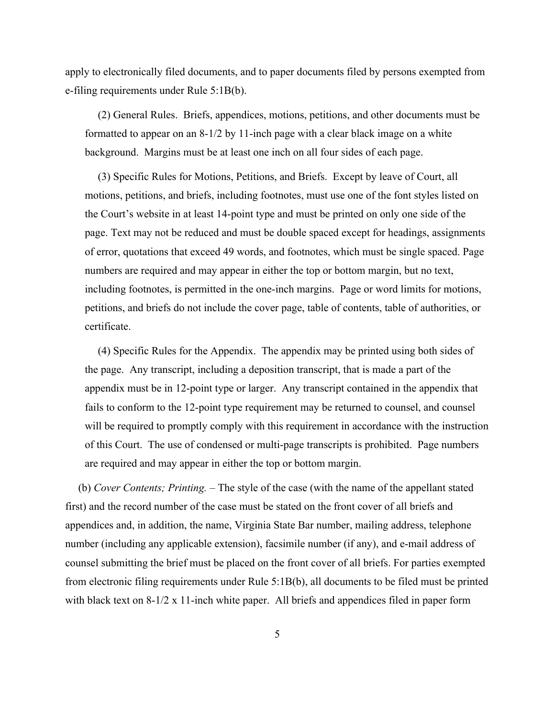apply to electronically filed documents, and to paper documents filed by persons exempted from e-filing requirements under Rule 5:1B(b).

(2) General Rules. Briefs, appendices, motions, petitions, and other documents must be formatted to appear on an 8-1/2 by 11-inch page with a clear black image on a white background. Margins must be at least one inch on all four sides of each page.

(3) Specific Rules for Motions, Petitions, and Briefs.Except by leave of Court, all motions, petitions, and briefs, including footnotes, must use one of the font styles listed on the Court's website in at least 14-point type and must be printed on only one side of the page. Text may not be reduced and must be double spaced except for headings, assignments of error, quotations that exceed 49 words, and footnotes, which must be single spaced. Page numbers are required and may appear in either the top or bottom margin, but no text, including footnotes, is permitted in the one-inch margins. Page or word limits for motions, petitions, and briefs do not include the cover page, table of contents, table of authorities, or certificate.

(4) Specific Rules for the Appendix. The appendix may be printed using both sides of the page. Any transcript, including a deposition transcript, that is made a part of the appendix must be in 12-point type or larger. Any transcript contained in the appendix that fails to conform to the 12-point type requirement may be returned to counsel, and counsel will be required to promptly comply with this requirement in accordance with the instruction of this Court. The use of condensed or multi-page transcripts is prohibited. Page numbers are required and may appear in either the top or bottom margin.

(b) *Cover Contents; Printing. ‒* The style of the case (with the name of the appellant stated first) and the record number of the case must be stated on the front cover of all briefs and appendices and, in addition, the name, Virginia State Bar number, mailing address, telephone number (including any applicable extension), facsimile number (if any), and e-mail address of counsel submitting the brief must be placed on the front cover of all briefs. For parties exempted from electronic filing requirements under Rule 5:1B(b), all documents to be filed must be printed with black text on 8-1/2 x 11-inch white paper. All briefs and appendices filed in paper form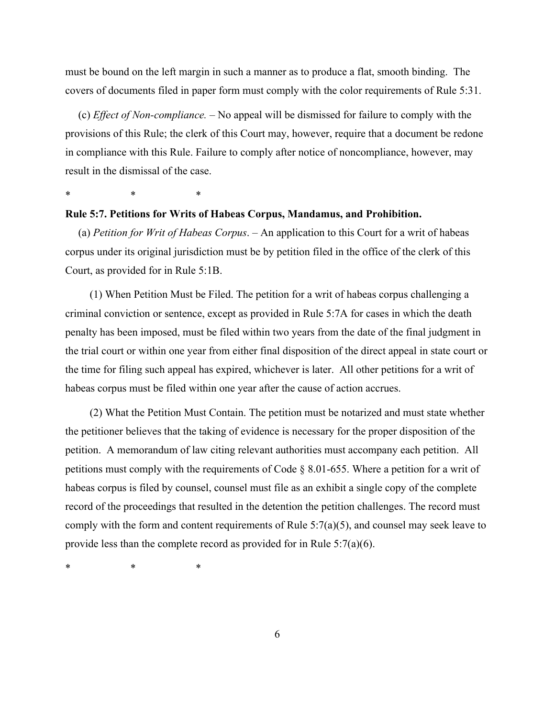must be bound on the left margin in such a manner as to produce a flat, smooth binding. The covers of documents filed in paper form must comply with the color requirements of Rule 5:31.

(c) *Effect of Non-compliance. ‒* No appeal will be dismissed for failure to comply with the provisions of this Rule; the clerk of this Court may, however, require that a document be redone in compliance with this Rule. Failure to comply after notice of noncompliance, however, may result in the dismissal of the case.

\* \* \*

## **Rule 5:7. Petitions for Writs of Habeas Corpus, Mandamus, and Prohibition.**

(a) *Petition for Writ of Habeas Corpus*. *‒* An application to this Court for a writ of habeas corpus under its original jurisdiction must be by petition filed in the office of the clerk of this Court, as provided for in Rule 5:1B.

(1) When Petition Must be Filed. The petition for a writ of habeas corpus challenging a criminal conviction or sentence, except as provided in Rule 5:7A for cases in which the death penalty has been imposed, must be filed within two years from the date of the final judgment in the trial court or within one year from either final disposition of the direct appeal in state court or the time for filing such appeal has expired, whichever is later. All other petitions for a writ of habeas corpus must be filed within one year after the cause of action accrues.

(2) What the Petition Must Contain. The petition must be notarized and must state whether the petitioner believes that the taking of evidence is necessary for the proper disposition of the petition. A memorandum of law citing relevant authorities must accompany each petition. All petitions must comply with the requirements of Code § 8.01-655. Where a petition for a writ of habeas corpus is filed by counsel, counsel must file as an exhibit a single copy of the complete record of the proceedings that resulted in the detention the petition challenges. The record must comply with the form and content requirements of Rule  $5:7(a)(5)$ , and counsel may seek leave to provide less than the complete record as provided for in Rule 5:7(a)(6).

\* \* \*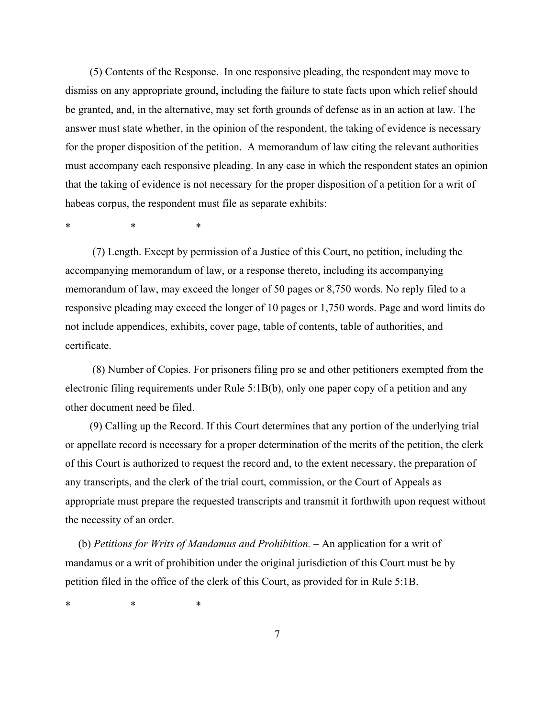(5) Contents of the Response. In one responsive pleading, the respondent may move to dismiss on any appropriate ground, including the failure to state facts upon which relief should be granted, and, in the alternative, may set forth grounds of defense as in an action at law. The answer must state whether, in the opinion of the respondent, the taking of evidence is necessary for the proper disposition of the petition. A memorandum of law citing the relevant authorities must accompany each responsive pleading. In any case in which the respondent states an opinion that the taking of evidence is not necessary for the proper disposition of a petition for a writ of habeas corpus, the respondent must file as separate exhibits:

\* \* \*

 (7) Length. Except by permission of a Justice of this Court, no petition, including the accompanying memorandum of law, or a response thereto, including its accompanying memorandum of law, may exceed the longer of 50 pages or 8,750 words. No reply filed to a responsive pleading may exceed the longer of 10 pages or 1,750 words. Page and word limits do not include appendices, exhibits, cover page, table of contents, table of authorities, and certificate.

 (8) Number of Copies. For prisoners filing pro se and other petitioners exempted from the electronic filing requirements under Rule 5:1B(b), only one paper copy of a petition and any other document need be filed.

(9) Calling up the Record. If this Court determines that any portion of the underlying trial or appellate record is necessary for a proper determination of the merits of the petition, the clerk of this Court is authorized to request the record and, to the extent necessary, the preparation of any transcripts, and the clerk of the trial court, commission, or the Court of Appeals as appropriate must prepare the requested transcripts and transmit it forthwith upon request without the necessity of an order.

(b) *Petitions for Writs of Mandamus and Prohibition. ‒* An application for a writ of mandamus or a writ of prohibition under the original jurisdiction of this Court must be by petition filed in the office of the clerk of this Court, as provided for in Rule 5:1B.

\* \* \*

7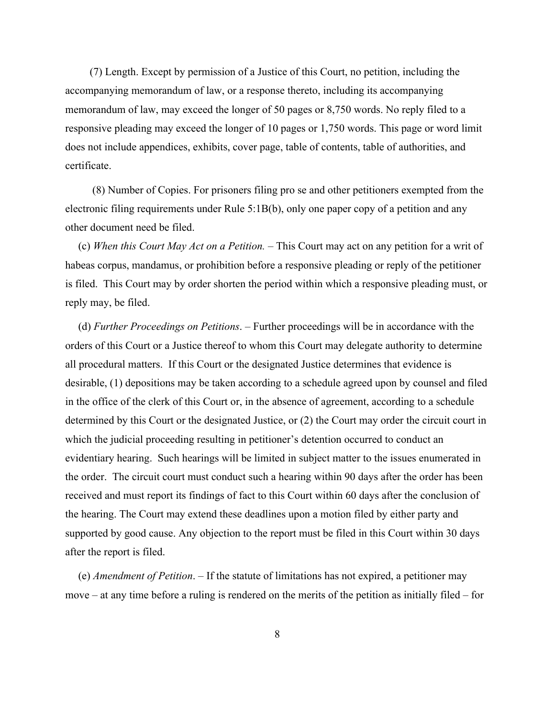(7) Length. Except by permission of a Justice of this Court, no petition, including the accompanying memorandum of law, or a response thereto, including its accompanying memorandum of law, may exceed the longer of 50 pages or 8,750 words. No reply filed to a responsive pleading may exceed the longer of 10 pages or 1,750 words. This page or word limit does not include appendices, exhibits, cover page, table of contents, table of authorities, and certificate.

 (8) Number of Copies. For prisoners filing pro se and other petitioners exempted from the electronic filing requirements under Rule 5:1B(b), only one paper copy of a petition and any other document need be filed.

(c) *When this Court May Act on a Petition. ‒* This Court may act on any petition for a writ of habeas corpus, mandamus, or prohibition before a responsive pleading or reply of the petitioner is filed. This Court may by order shorten the period within which a responsive pleading must, or reply may, be filed.

(d) *Further Proceedings on Petitions*. *‒* Further proceedings will be in accordance with the orders of this Court or a Justice thereof to whom this Court may delegate authority to determine all procedural matters. If this Court or the designated Justice determines that evidence is desirable, (1) depositions may be taken according to a schedule agreed upon by counsel and filed in the office of the clerk of this Court or, in the absence of agreement, according to a schedule determined by this Court or the designated Justice, or (2) the Court may order the circuit court in which the judicial proceeding resulting in petitioner's detention occurred to conduct an evidentiary hearing. Such hearings will be limited in subject matter to the issues enumerated in the order. The circuit court must conduct such a hearing within 90 days after the order has been received and must report its findings of fact to this Court within 60 days after the conclusion of the hearing. The Court may extend these deadlines upon a motion filed by either party and supported by good cause. Any objection to the report must be filed in this Court within 30 days after the report is filed.

(e) *Amendment of Petition*. *‒* If the statute of limitations has not expired, a petitioner may move – at any time before a ruling is rendered on the merits of the petition as initially filed – for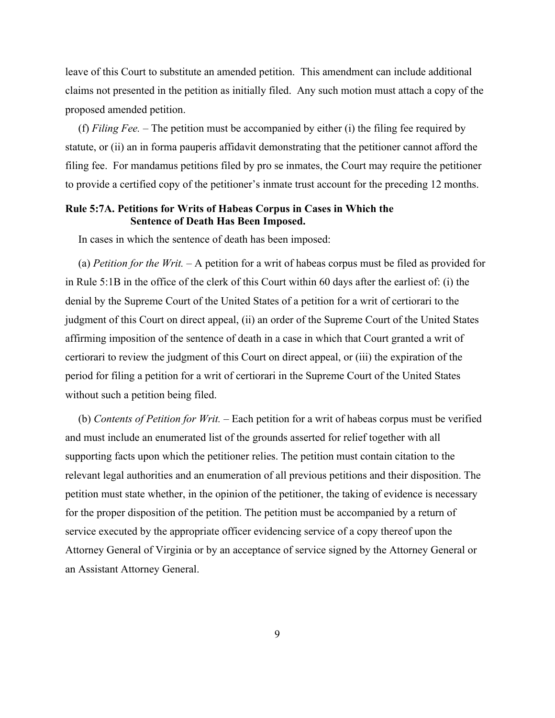leave of this Court to substitute an amended petition. This amendment can include additional claims not presented in the petition as initially filed. Any such motion must attach a copy of the proposed amended petition.

(f) *Filing Fee.*  $-$  The petition must be accompanied by either (i) the filing fee required by statute, or (ii) an in forma pauperis affidavit demonstrating that the petitioner cannot afford the filing fee. For mandamus petitions filed by pro se inmates, the Court may require the petitioner to provide a certified copy of the petitioner's inmate trust account for the preceding 12 months.

# **Rule 5:7A. Petitions for Writs of Habeas Corpus in Cases in Which the Sentence of Death Has Been Imposed.**

In cases in which the sentence of death has been imposed:

(a) *Petition for the Writ.* – A petition for a writ of habeas corpus must be filed as provided for in Rule 5:1B in the office of the clerk of this Court within 60 days after the earliest of: (i) the denial by the Supreme Court of the United States of a petition for a writ of certiorari to the judgment of this Court on direct appeal, (ii) an order of the Supreme Court of the United States affirming imposition of the sentence of death in a case in which that Court granted a writ of certiorari to review the judgment of this Court on direct appeal, or (iii) the expiration of the period for filing a petition for a writ of certiorari in the Supreme Court of the United States without such a petition being filed.

(b) *Contents of Petition for Writ.* – Each petition for a writ of habeas corpus must be verified and must include an enumerated list of the grounds asserted for relief together with all supporting facts upon which the petitioner relies. The petition must contain citation to the relevant legal authorities and an enumeration of all previous petitions and their disposition. The petition must state whether, in the opinion of the petitioner, the taking of evidence is necessary for the proper disposition of the petition. The petition must be accompanied by a return of service executed by the appropriate officer evidencing service of a copy thereof upon the Attorney General of Virginia or by an acceptance of service signed by the Attorney General or an Assistant Attorney General.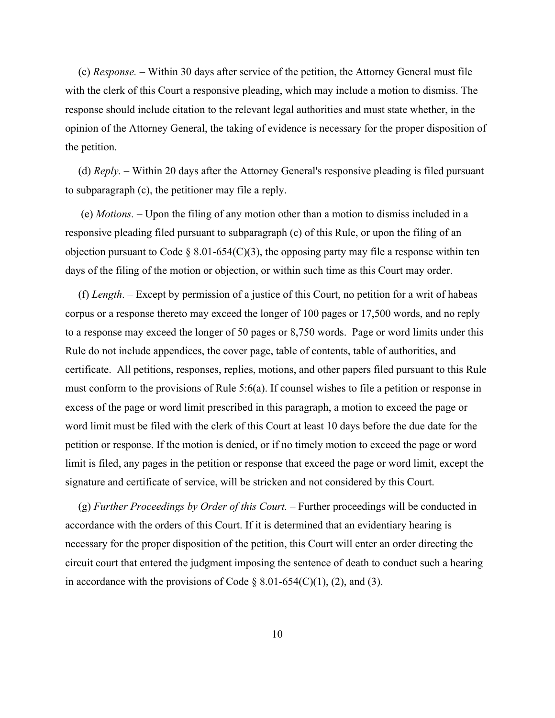(c) *Response. ‒* Within 30 days after service of the petition, the Attorney General must file with the clerk of this Court a responsive pleading, which may include a motion to dismiss. The response should include citation to the relevant legal authorities and must state whether, in the opinion of the Attorney General, the taking of evidence is necessary for the proper disposition of the petition.

(d) *Reply. ‒* Within 20 days after the Attorney General's responsive pleading is filed pursuant to subparagraph (c), the petitioner may file a reply.

 (e) *Motions. ‒* Upon the filing of any motion other than a motion to dismiss included in a responsive pleading filed pursuant to subparagraph (c) of this Rule, or upon the filing of an objection pursuant to Code § 8.01-654(C)(3), the opposing party may file a response within ten days of the filing of the motion or objection, or within such time as this Court may order.

(f) *Length*. ‒ Except by permission of a justice of this Court, no petition for a writ of habeas corpus or a response thereto may exceed the longer of 100 pages or 17,500 words, and no reply to a response may exceed the longer of 50 pages or 8,750 words. Page or word limits under this Rule do not include appendices, the cover page, table of contents, table of authorities, and certificate. All petitions, responses, replies, motions, and other papers filed pursuant to this Rule must conform to the provisions of Rule 5:6(a). If counsel wishes to file a petition or response in excess of the page or word limit prescribed in this paragraph, a motion to exceed the page or word limit must be filed with the clerk of this Court at least 10 days before the due date for the petition or response. If the motion is denied, or if no timely motion to exceed the page or word limit is filed, any pages in the petition or response that exceed the page or word limit, except the signature and certificate of service, will be stricken and not considered by this Court.

(g) *Further Proceedings by Order of this Court.* – Further proceedings will be conducted in accordance with the orders of this Court. If it is determined that an evidentiary hearing is necessary for the proper disposition of the petition, this Court will enter an order directing the circuit court that entered the judgment imposing the sentence of death to conduct such a hearing in accordance with the provisions of Code  $\S$  8.01-654(C)(1), (2), and (3).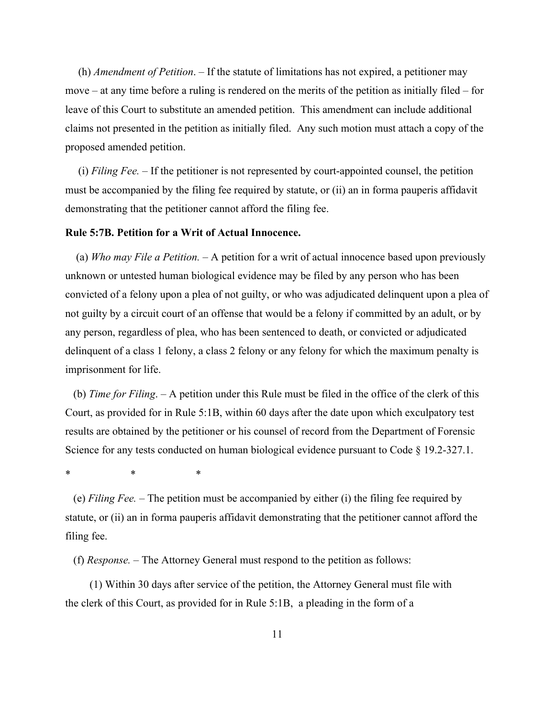(h) *Amendment of Petition*. ‒ If the statute of limitations has not expired, a petitioner may move – at any time before a ruling is rendered on the merits of the petition as initially filed – for leave of this Court to substitute an amended petition. This amendment can include additional claims not presented in the petition as initially filed. Any such motion must attach a copy of the proposed amended petition.

(i) *Filing Fee. ‒* If the petitioner is not represented by court-appointed counsel, the petition must be accompanied by the filing fee required by statute, or (ii) an in forma pauperis affidavit demonstrating that the petitioner cannot afford the filing fee.

#### **Rule 5:7B. Petition for a Writ of Actual Innocence.**

(a) *Who may File a Petition.* – A petition for a writ of actual innocence based upon previously unknown or untested human biological evidence may be filed by any person who has been convicted of a felony upon a plea of not guilty, or who was adjudicated delinquent upon a plea of not guilty by a circuit court of an offense that would be a felony if committed by an adult, or by any person, regardless of plea, who has been sentenced to death, or convicted or adjudicated delinquent of a class 1 felony, a class 2 felony or any felony for which the maximum penalty is imprisonment for life.

(b) *Time for Filing*. ‒ A petition under this Rule must be filed in the office of the clerk of this Court, as provided for in Rule 5:1B, within 60 days after the date upon which exculpatory test results are obtained by the petitioner or his counsel of record from the Department of Forensic Science for any tests conducted on human biological evidence pursuant to Code § 19.2-327.1.

\* \* \*

(e) *Filing Fee. ‒* The petition must be accompanied by either (i) the filing fee required by statute, or (ii) an in forma pauperis affidavit demonstrating that the petitioner cannot afford the filing fee.

(f) *Response. ‒* The Attorney General must respond to the petition as follows:

(1) Within 30 days after service of the petition, the Attorney General must file with the clerk of this Court, as provided for in Rule 5:1B, a pleading in the form of a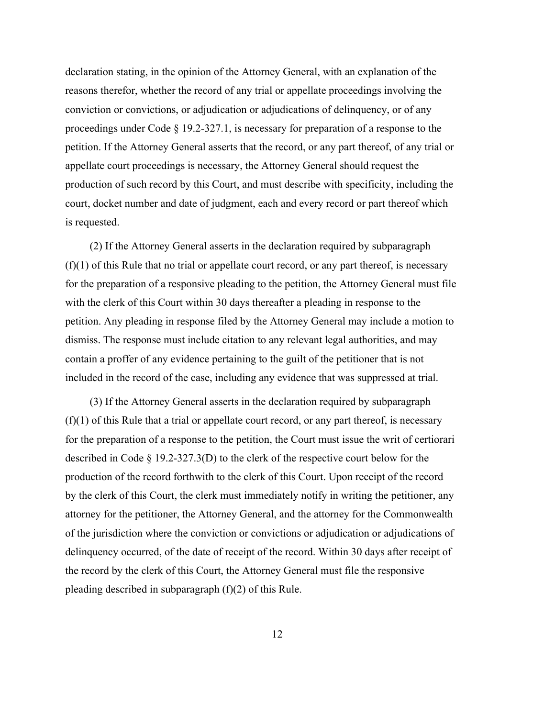declaration stating, in the opinion of the Attorney General, with an explanation of the reasons therefor, whether the record of any trial or appellate proceedings involving the conviction or convictions, or adjudication or adjudications of delinquency, or of any proceedings under Code § 19.2-327.1, is necessary for preparation of a response to the petition. If the Attorney General asserts that the record, or any part thereof, of any trial or appellate court proceedings is necessary, the Attorney General should request the production of such record by this Court, and must describe with specificity, including the court, docket number and date of judgment, each and every record or part thereof which is requested.

(2) If the Attorney General asserts in the declaration required by subparagraph  $(f)(1)$  of this Rule that no trial or appellate court record, or any part thereof, is necessary for the preparation of a responsive pleading to the petition, the Attorney General must file with the clerk of this Court within 30 days thereafter a pleading in response to the petition. Any pleading in response filed by the Attorney General may include a motion to dismiss. The response must include citation to any relevant legal authorities, and may contain a proffer of any evidence pertaining to the guilt of the petitioner that is not included in the record of the case, including any evidence that was suppressed at trial.

(3) If the Attorney General asserts in the declaration required by subparagraph  $(f)(1)$  of this Rule that a trial or appellate court record, or any part thereof, is necessary for the preparation of a response to the petition, the Court must issue the writ of certiorari described in Code § 19.2-327.3(D) to the clerk of the respective court below for the production of the record forthwith to the clerk of this Court. Upon receipt of the record by the clerk of this Court, the clerk must immediately notify in writing the petitioner, any attorney for the petitioner, the Attorney General, and the attorney for the Commonwealth of the jurisdiction where the conviction or convictions or adjudication or adjudications of delinquency occurred, of the date of receipt of the record. Within 30 days after receipt of the record by the clerk of this Court, the Attorney General must file the responsive pleading described in subparagraph (f)(2) of this Rule.

12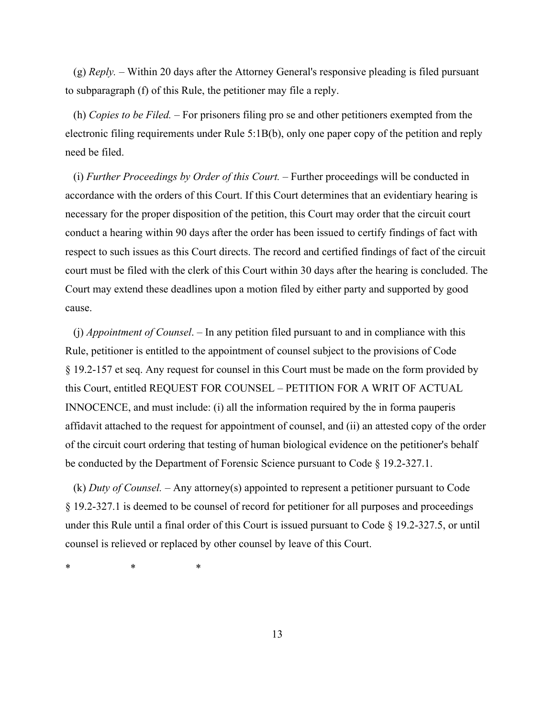(g) *Reply. ‒* Within 20 days after the Attorney General's responsive pleading is filed pursuant to subparagraph (f) of this Rule, the petitioner may file a reply.

(h) *Copies to be Filed. ‒* For prisoners filing pro se and other petitioners exempted from the electronic filing requirements under Rule 5:1B(b), only one paper copy of the petition and reply need be filed.

(i) *Further Proceedings by Order of this Court.* – Further proceedings will be conducted in accordance with the orders of this Court. If this Court determines that an evidentiary hearing is necessary for the proper disposition of the petition, this Court may order that the circuit court conduct a hearing within 90 days after the order has been issued to certify findings of fact with respect to such issues as this Court directs. The record and certified findings of fact of the circuit court must be filed with the clerk of this Court within 30 days after the hearing is concluded. The Court may extend these deadlines upon a motion filed by either party and supported by good cause.

(j) *Appointment of Counsel*. ‒ In any petition filed pursuant to and in compliance with this Rule, petitioner is entitled to the appointment of counsel subject to the provisions of Code § 19.2-157 et seq. Any request for counsel in this Court must be made on the form provided by this Court, entitled REQUEST FOR COUNSEL – PETITION FOR A WRIT OF ACTUAL INNOCENCE, and must include: (i) all the information required by the in forma pauperis affidavit attached to the request for appointment of counsel, and (ii) an attested copy of the order of the circuit court ordering that testing of human biological evidence on the petitioner's behalf be conducted by the Department of Forensic Science pursuant to Code § 19.2-327.1.

(k) *Duty of Counsel.* ‒ Any attorney(s) appointed to represent a petitioner pursuant to Code § 19.2-327.1 is deemed to be counsel of record for petitioner for all purposes and proceedings under this Rule until a final order of this Court is issued pursuant to Code § 19.2-327.5, or until counsel is relieved or replaced by other counsel by leave of this Court.

\* \* \*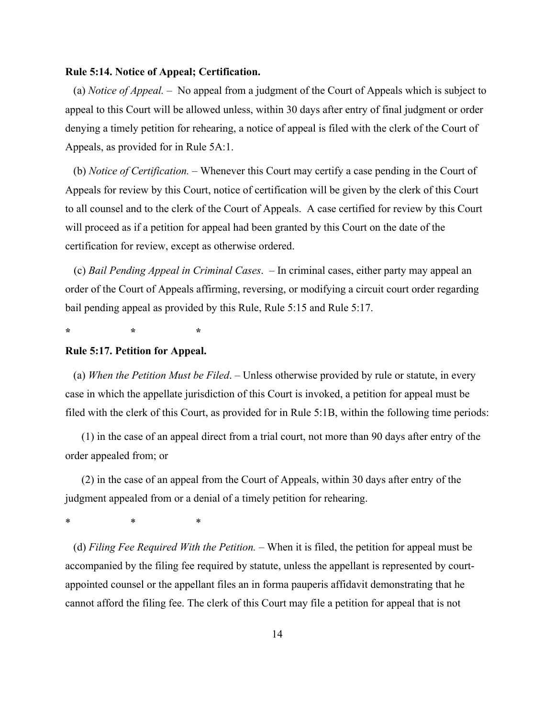#### **Rule 5:14. Notice of Appeal; Certification.**

(a) *Notice of Appeal. ‒* No appeal from a judgment of the Court of Appeals which is subject to appeal to this Court will be allowed unless, within 30 days after entry of final judgment or order denying a timely petition for rehearing, a notice of appeal is filed with the clerk of the Court of Appeals, as provided for in Rule 5A:1.

(b) *Notice of Certification.* ‒ Whenever this Court may certify a case pending in the Court of Appeals for review by this Court, notice of certification will be given by the clerk of this Court to all counsel and to the clerk of the Court of Appeals. A case certified for review by this Court will proceed as if a petition for appeal had been granted by this Court on the date of the certification for review, except as otherwise ordered.

(c) *Bail Pending Appeal in Criminal Cases*. ‒ In criminal cases, either party may appeal an order of the Court of Appeals affirming, reversing, or modifying a circuit court order regarding bail pending appeal as provided by this Rule, Rule 5:15 and Rule 5:17.

**\* \* \*** 

#### **Rule 5:17. Petition for Appeal.**

(a) *When the Petition Must be Filed*. ‒ Unless otherwise provided by rule or statute, in every case in which the appellate jurisdiction of this Court is invoked, a petition for appeal must be filed with the clerk of this Court, as provided for in Rule 5:1B, within the following time periods:

(1) in the case of an appeal direct from a trial court, not more than 90 days after entry of the order appealed from; or

(2) in the case of an appeal from the Court of Appeals, within 30 days after entry of the judgment appealed from or a denial of a timely petition for rehearing.

\* \* \*

(d) *Filing Fee Required With the Petition.* – When it is filed, the petition for appeal must be accompanied by the filing fee required by statute, unless the appellant is represented by courtappointed counsel or the appellant files an in forma pauperis affidavit demonstrating that he cannot afford the filing fee. The clerk of this Court may file a petition for appeal that is not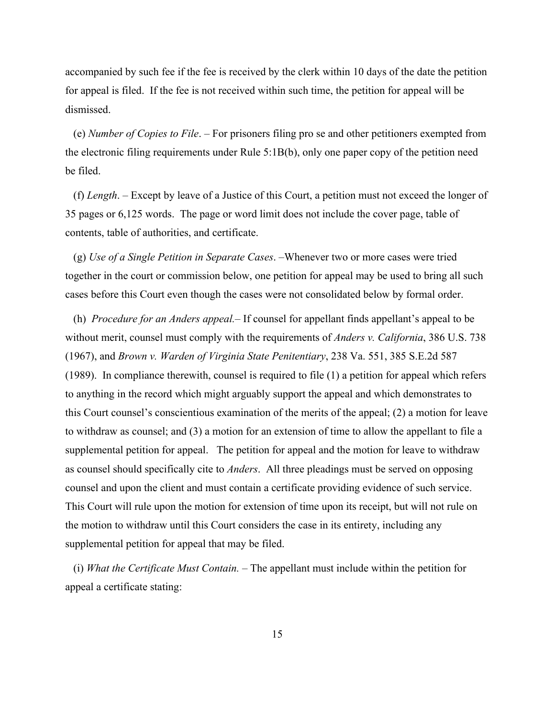accompanied by such fee if the fee is received by the clerk within 10 days of the date the petition for appeal is filed. If the fee is not received within such time, the petition for appeal will be dismissed.

(e) *Number of Copies to File*. ‒ For prisoners filing pro se and other petitioners exempted from the electronic filing requirements under Rule 5:1B(b), only one paper copy of the petition need be filed.

(f) *Length*. ‒ Except by leave of a Justice of this Court, a petition must not exceed the longer of 35 pages or 6,125 words. The page or word limit does not include the cover page, table of contents, table of authorities, and certificate.

(g) *Use of a Single Petition in Separate Cases*. ‒Whenever two or more cases were tried together in the court or commission below, one petition for appeal may be used to bring all such cases before this Court even though the cases were not consolidated below by formal order.

(h) *Procedure for an Anders appeal*. If counsel for appellant finds appellant's appeal to be without merit, counsel must comply with the requirements of *Anders v. California*, 386 U.S. 738 (1967), and *Brown v. Warden of Virginia State Penitentiary*, 238 Va. 551, 385 S.E.2d 587 (1989). In compliance therewith, counsel is required to file (1) a petition for appeal which refers to anything in the record which might arguably support the appeal and which demonstrates to this Court counsel's conscientious examination of the merits of the appeal; (2) a motion for leave to withdraw as counsel; and (3) a motion for an extension of time to allow the appellant to file a supplemental petition for appeal. The petition for appeal and the motion for leave to withdraw as counsel should specifically cite to *Anders*. All three pleadings must be served on opposing counsel and upon the client and must contain a certificate providing evidence of such service. This Court will rule upon the motion for extension of time upon its receipt, but will not rule on the motion to withdraw until this Court considers the case in its entirety, including any supplemental petition for appeal that may be filed.

(i) *What the Certificate Must Contain.* – The appellant must include within the petition for appeal a certificate stating: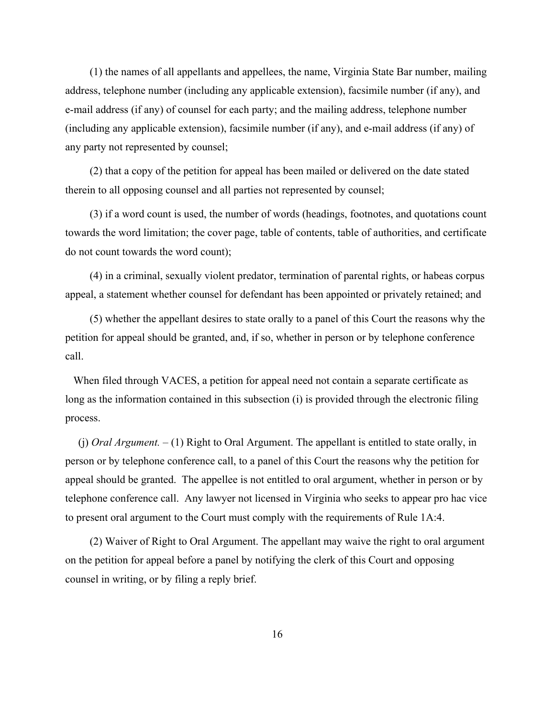(1) the names of all appellants and appellees, the name, Virginia State Bar number, mailing address, telephone number (including any applicable extension), facsimile number (if any), and e-mail address (if any) of counsel for each party; and the mailing address, telephone number (including any applicable extension), facsimile number (if any), and e-mail address (if any) of any party not represented by counsel;

(2) that a copy of the petition for appeal has been mailed or delivered on the date stated therein to all opposing counsel and all parties not represented by counsel;

(3) if a word count is used, the number of words (headings, footnotes, and quotations count towards the word limitation; the cover page, table of contents, table of authorities, and certificate do not count towards the word count);

(4) in a criminal, sexually violent predator, termination of parental rights, or habeas corpus appeal, a statement whether counsel for defendant has been appointed or privately retained; and

(5) whether the appellant desires to state orally to a panel of this Court the reasons why the petition for appeal should be granted, and, if so, whether in person or by telephone conference call.

When filed through VACES, a petition for appeal need not contain a separate certificate as long as the information contained in this subsection (i) is provided through the electronic filing process.

(j) *Oral Argument. ‒* (1) Right to Oral Argument. The appellant is entitled to state orally, in person or by telephone conference call, to a panel of this Court the reasons why the petition for appeal should be granted. The appellee is not entitled to oral argument, whether in person or by telephone conference call. Any lawyer not licensed in Virginia who seeks to appear pro hac vice to present oral argument to the Court must comply with the requirements of Rule 1A:4.

(2) Waiver of Right to Oral Argument. The appellant may waive the right to oral argument on the petition for appeal before a panel by notifying the clerk of this Court and opposing counsel in writing, or by filing a reply brief.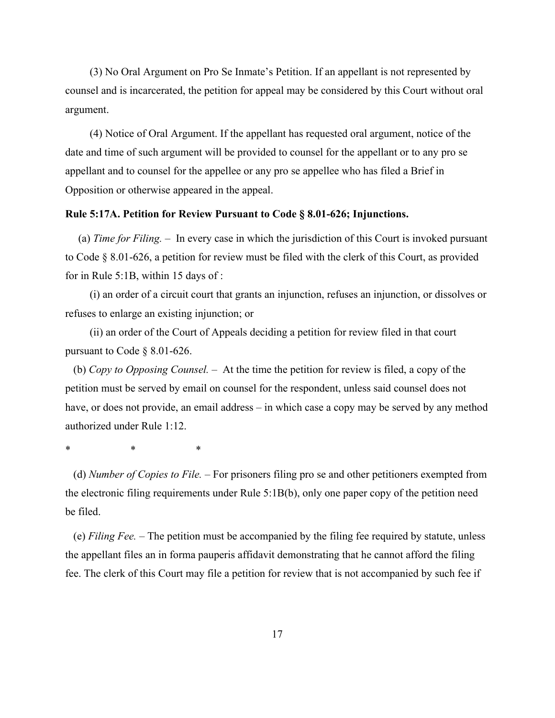(3) No Oral Argument on Pro Se Inmate's Petition. If an appellant is not represented by counsel and is incarcerated, the petition for appeal may be considered by this Court without oral argument.

(4) Notice of Oral Argument. If the appellant has requested oral argument, notice of the date and time of such argument will be provided to counsel for the appellant or to any pro se appellant and to counsel for the appellee or any pro se appellee who has filed a Brief in Opposition or otherwise appeared in the appeal.

## **Rule 5:17A. Petition for Review Pursuant to Code § 8.01-626; Injunctions.**

(a) *Time for Filing.* ‒ In every case in which the jurisdiction of this Court is invoked pursuant to Code § 8.01-626, a petition for review must be filed with the clerk of this Court, as provided for in Rule 5:1B, within 15 days of :

(i) an order of a circuit court that grants an injunction, refuses an injunction, or dissolves or refuses to enlarge an existing injunction; or

(ii) an order of the Court of Appeals deciding a petition for review filed in that court pursuant to Code § 8.01-626.

(b) *Copy to Opposing Counsel.* ‒ At the time the petition for review is filed, a copy of the petition must be served by email on counsel for the respondent, unless said counsel does not have, or does not provide, an email address – in which case a copy may be served by any method authorized under Rule 1:12.

\* \* \*

(d) *Number of Copies to File.* ‒ For prisoners filing pro se and other petitioners exempted from the electronic filing requirements under Rule 5:1B(b), only one paper copy of the petition need be filed.

(e) *Filing Fee.* ‒ The petition must be accompanied by the filing fee required by statute, unless the appellant files an in forma pauperis affidavit demonstrating that he cannot afford the filing fee. The clerk of this Court may file a petition for review that is not accompanied by such fee if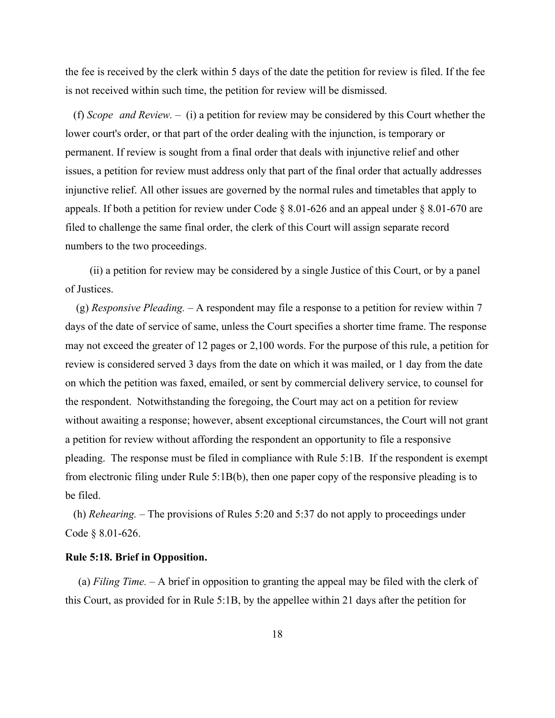the fee is received by the clerk within 5 days of the date the petition for review is filed. If the fee is not received within such time, the petition for review will be dismissed.

(f) *Scope and Review.* ‒ (i) a petition for review may be considered by this Court whether the lower court's order, or that part of the order dealing with the injunction, is temporary or permanent. If review is sought from a final order that deals with injunctive relief and other issues, a petition for review must address only that part of the final order that actually addresses injunctive relief. All other issues are governed by the normal rules and timetables that apply to appeals. If both a petition for review under Code § 8.01-626 and an appeal under § 8.01-670 are filed to challenge the same final order, the clerk of this Court will assign separate record numbers to the two proceedings.

(ii) a petition for review may be considered by a single Justice of this Court, or by a panel of Justices.

 (g) *Responsive Pleading.* ‒ A respondent may file a response to a petition for review within 7 days of the date of service of same, unless the Court specifies a shorter time frame. The response may not exceed the greater of 12 pages or 2,100 words. For the purpose of this rule, a petition for review is considered served 3 days from the date on which it was mailed, or 1 day from the date on which the petition was faxed, emailed, or sent by commercial delivery service, to counsel for the respondent. Notwithstanding the foregoing, the Court may act on a petition for review without awaiting a response; however, absent exceptional circumstances, the Court will not grant a petition for review without affording the respondent an opportunity to file a responsive pleading. The response must be filed in compliance with Rule 5:1B. If the respondent is exempt from electronic filing under Rule 5:1B(b), then one paper copy of the responsive pleading is to be filed.

(h) *Rehearing.* ‒ The provisions of Rules 5:20 and 5:37 do not apply to proceedings under Code § 8.01-626.

#### **Rule 5:18. Brief in Opposition.**

(a) *Filing Time. ‒* A brief in opposition to granting the appeal may be filed with the clerk of this Court, as provided for in Rule 5:1B, by the appellee within 21 days after the petition for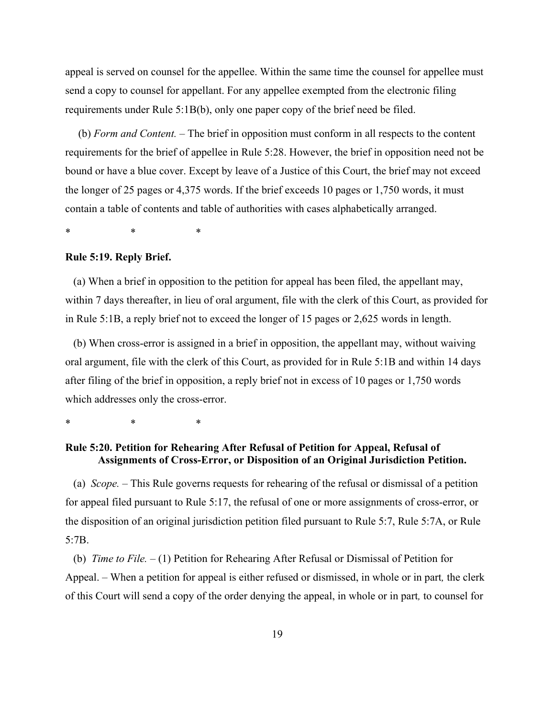appeal is served on counsel for the appellee. Within the same time the counsel for appellee must send a copy to counsel for appellant. For any appellee exempted from the electronic filing requirements under Rule 5:1B(b), only one paper copy of the brief need be filed.

(b) *Form and Content. ‒* The brief in opposition must conform in all respects to the content requirements for the brief of appellee in Rule 5:28. However, the brief in opposition need not be bound or have a blue cover. Except by leave of a Justice of this Court, the brief may not exceed the longer of 25 pages or 4,375 words. If the brief exceeds 10 pages or 1,750 words, it must contain a table of contents and table of authorities with cases alphabetically arranged.

\* \* \*

#### **Rule 5:19. Reply Brief.**

(a) When a brief in opposition to the petition for appeal has been filed, the appellant may, within 7 days thereafter, in lieu of oral argument, file with the clerk of this Court, as provided for in Rule 5:1B, a reply brief not to exceed the longer of 15 pages or 2,625 words in length.

(b) When cross-error is assigned in a brief in opposition, the appellant may, without waiving oral argument, file with the clerk of this Court, as provided for in Rule 5:1B and within 14 days after filing of the brief in opposition, a reply brief not in excess of 10 pages or 1,750 words which addresses only the cross-error.

\* \* \*

# **Rule 5:20. Petition for Rehearing After Refusal of Petition for Appeal, Refusal of Assignments of Cross-Error, or Disposition of an Original Jurisdiction Petition.**

(a) *Scope.* – This Rule governs requests for rehearing of the refusal or dismissal of a petition for appeal filed pursuant to Rule 5:17, the refusal of one or more assignments of cross-error, or the disposition of an original jurisdiction petition filed pursuant to Rule 5:7, Rule 5:7A, or Rule 5:7B.

(b) *Time to File.* – (1) Petition for Rehearing After Refusal or Dismissal of Petition for Appeal. – When a petition for appeal is either refused or dismissed, in whole or in part*,* the clerk of this Court will send a copy of the order denying the appeal, in whole or in part*,* to counsel for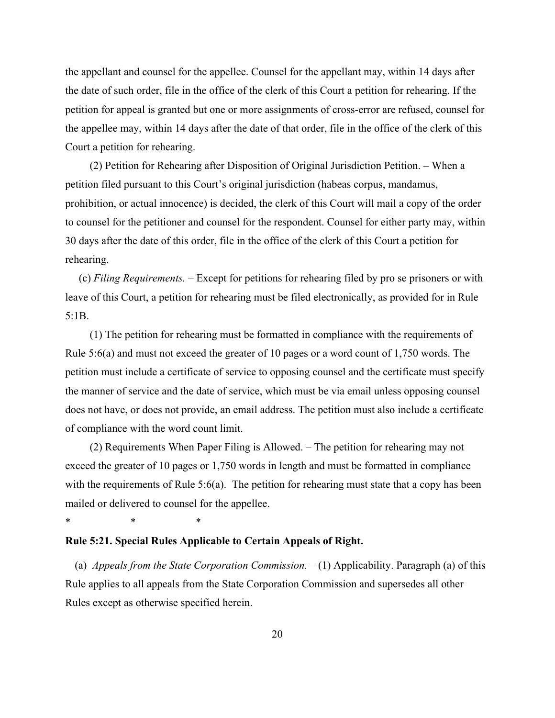the appellant and counsel for the appellee. Counsel for the appellant may, within 14 days after the date of such order, file in the office of the clerk of this Court a petition for rehearing. If the petition for appeal is granted but one or more assignments of cross-error are refused, counsel for the appellee may, within 14 days after the date of that order, file in the office of the clerk of this Court a petition for rehearing.

(2) Petition for Rehearing after Disposition of Original Jurisdiction Petition. – When a petition filed pursuant to this Court's original jurisdiction (habeas corpus, mandamus, prohibition, or actual innocence) is decided, the clerk of this Court will mail a copy of the order to counsel for the petitioner and counsel for the respondent. Counsel for either party may, within 30 days after the date of this order, file in the office of the clerk of this Court a petition for rehearing.

(c) *Filing Requirements.* – Except for petitions for rehearing filed by pro se prisoners or with leave of this Court, a petition for rehearing must be filed electronically, as provided for in Rule 5:1B.

(1) The petition for rehearing must be formatted in compliance with the requirements of Rule 5:6(a) and must not exceed the greater of 10 pages or a word count of 1,750 words. The petition must include a certificate of service to opposing counsel and the certificate must specify the manner of service and the date of service, which must be via email unless opposing counsel does not have, or does not provide, an email address. The petition must also include a certificate of compliance with the word count limit.

(2) Requirements When Paper Filing is Allowed. – The petition for rehearing may not exceed the greater of 10 pages or 1,750 words in length and must be formatted in compliance with the requirements of Rule 5:6(a). The petition for rehearing must state that a copy has been mailed or delivered to counsel for the appellee.

**Rule 5:21. Special Rules Applicable to Certain Appeals of Right.** 

\* \* \*

(a) *Appeals from the State Corporation Commission.*  $- (1)$  Applicability. Paragraph (a) of this Rule applies to all appeals from the State Corporation Commission and supersedes all other Rules except as otherwise specified herein.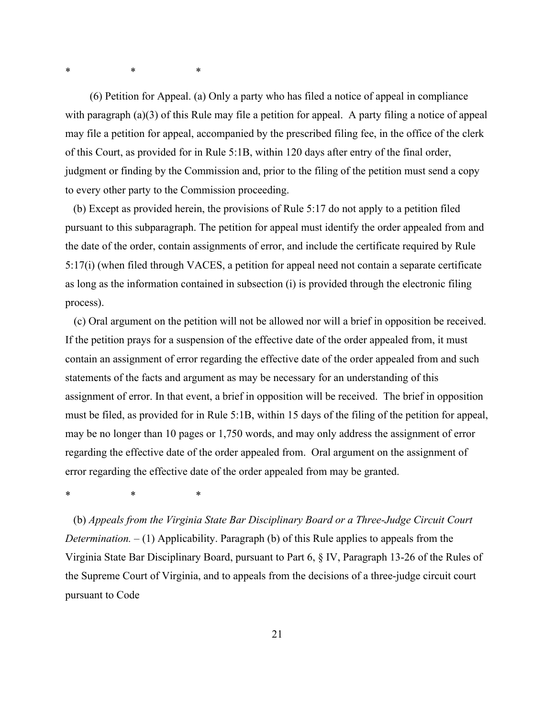\* \* \*

(6) Petition for Appeal. (a) Only a party who has filed a notice of appeal in compliance with paragraph (a)(3) of this Rule may file a petition for appeal. A party filing a notice of appeal may file a petition for appeal, accompanied by the prescribed filing fee, in the office of the clerk of this Court, as provided for in Rule 5:1B, within 120 days after entry of the final order, judgment or finding by the Commission and, prior to the filing of the petition must send a copy to every other party to the Commission proceeding.

(b) Except as provided herein, the provisions of Rule 5:17 do not apply to a petition filed pursuant to this subparagraph. The petition for appeal must identify the order appealed from and the date of the order, contain assignments of error, and include the certificate required by Rule 5:17(i) (when filed through VACES, a petition for appeal need not contain a separate certificate as long as the information contained in subsection (i) is provided through the electronic filing process).

(c) Oral argument on the petition will not be allowed nor will a brief in opposition be received. If the petition prays for a suspension of the effective date of the order appealed from, it must contain an assignment of error regarding the effective date of the order appealed from and such statements of the facts and argument as may be necessary for an understanding of this assignment of error. In that event, a brief in opposition will be received. The brief in opposition must be filed, as provided for in Rule 5:1B, within 15 days of the filing of the petition for appeal, may be no longer than 10 pages or 1,750 words, and may only address the assignment of error regarding the effective date of the order appealed from. Oral argument on the assignment of error regarding the effective date of the order appealed from may be granted.

\* \* \*

(b) *Appeals from the Virginia State Bar Disciplinary Board or a Three-Judge Circuit Court Determination.*  $- (1)$  Applicability. Paragraph (b) of this Rule applies to appeals from the Virginia State Bar Disciplinary Board, pursuant to Part 6, § IV, Paragraph 13-26 of the Rules of the Supreme Court of Virginia, and to appeals from the decisions of a three-judge circuit court pursuant to Code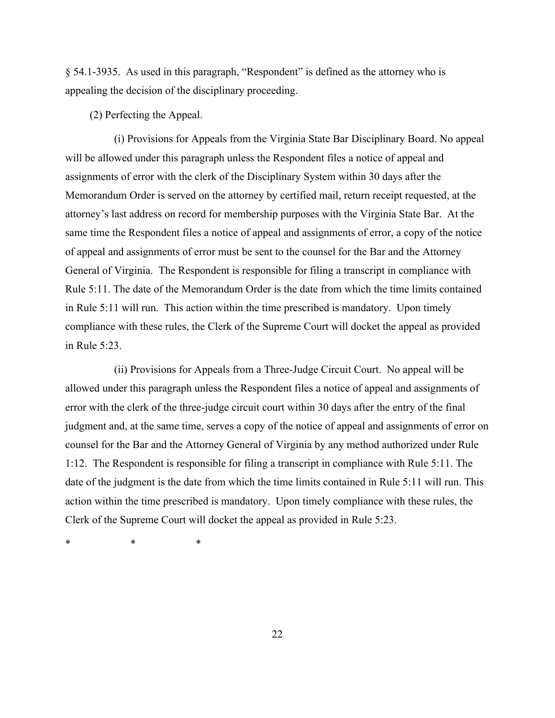§ 54.1-3935. As used in this paragraph, "Respondent" is defined as the attorney who is appealing the decision of the disciplinary proceeding.

(2) Perfecting the Appeal.

(i) Provisions for Appeals from the Virginia State Bar Disciplinary Board. No appeal will be allowed under this paragraph unless the Respondent files a notice of appeal and assignments of error with the clerk of the Disciplinary System within 30 days after the Memorandum Order is served on the attorney by certified mail, return receipt requested, at the attorney's last address on record for membership purposes with the Virginia State Bar. At the same time the Respondent files a notice of appeal and assignments of error, a copy of the notice of appeal and assignments of error must be sent to the counsel for the Bar and the Attorney General of Virginia. The Respondent is responsible for filing a transcript in compliance with Rule 5:11. The date of the Memorandum Order is the date from which the time limits contained in Rule 5:11 will run. This action within the time prescribed is mandatory. Upon timely compliance with these rules, the Clerk of the Supreme Court will docket the appeal as provided in Rule 5:23.

(ii) Provisions for Appeals from a Three-Judge Circuit Court. No appeal will be allowed under this paragraph unless the Respondent files a notice of appeal and assignments of error with the clerk of the three-judge circuit court within 30 days after the entry of the final judgment and, at the same time, serves a copy of the notice of appeal and assignments of error on counsel for the Bar and the Attorney General of Virginia by any method authorized under Rule 1:12. The Respondent is responsible for filing a transcript in compliance with Rule 5:11. The date of the judgment is the date from which the time limits contained in Rule 5:11 will run. This action within the time prescribed is mandatory. Upon timely compliance with these rules, the Clerk of the Supreme Court will docket the appeal as provided in Rule 5:23.

\* \* \*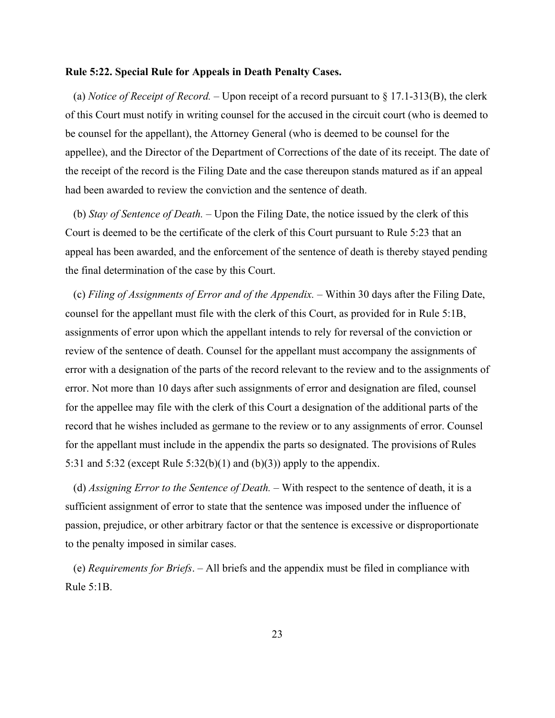#### **Rule 5:22. Special Rule for Appeals in Death Penalty Cases.**

(a) *Notice of Receipt of Record.* – Upon receipt of a record pursuant to  $\S 17.1-313(B)$ , the clerk of this Court must notify in writing counsel for the accused in the circuit court (who is deemed to be counsel for the appellant), the Attorney General (who is deemed to be counsel for the appellee), and the Director of the Department of Corrections of the date of its receipt. The date of the receipt of the record is the Filing Date and the case thereupon stands matured as if an appeal had been awarded to review the conviction and the sentence of death.

(b) *Stay of Sentence of Death.* – Upon the Filing Date, the notice issued by the clerk of this Court is deemed to be the certificate of the clerk of this Court pursuant to Rule 5:23 that an appeal has been awarded, and the enforcement of the sentence of death is thereby stayed pending the final determination of the case by this Court.

(c) *Filing of Assignments of Error and of the Appendix.* – Within 30 days after the Filing Date, counsel for the appellant must file with the clerk of this Court, as provided for in Rule 5:1B, assignments of error upon which the appellant intends to rely for reversal of the conviction or review of the sentence of death. Counsel for the appellant must accompany the assignments of error with a designation of the parts of the record relevant to the review and to the assignments of error. Not more than 10 days after such assignments of error and designation are filed, counsel for the appellee may file with the clerk of this Court a designation of the additional parts of the record that he wishes included as germane to the review or to any assignments of error. Counsel for the appellant must include in the appendix the parts so designated. The provisions of Rules 5:31 and 5:32 (except Rule  $5:32(b)(1)$  and  $(b)(3)$ ) apply to the appendix.

(d) *Assigning Error to the Sentence of Death.* – With respect to the sentence of death, it is a sufficient assignment of error to state that the sentence was imposed under the influence of passion, prejudice, or other arbitrary factor or that the sentence is excessive or disproportionate to the penalty imposed in similar cases.

(e) *Requirements for Briefs*. ‒ All briefs and the appendix must be filed in compliance with Rule 5:1B.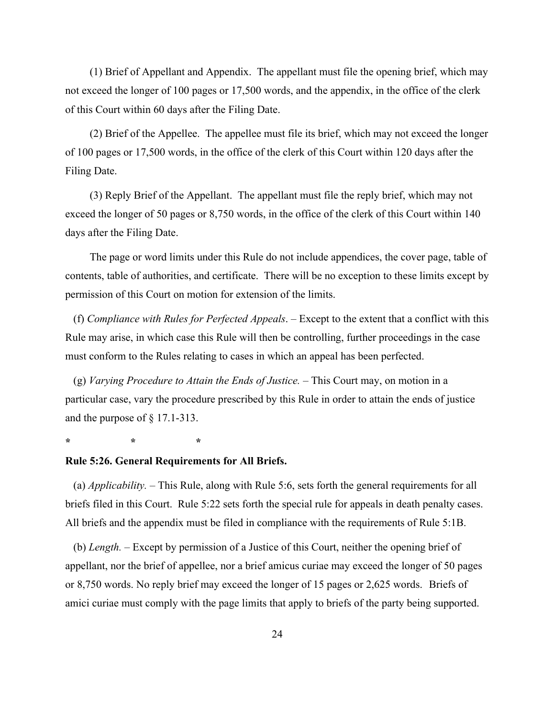(1) Brief of Appellant and Appendix. The appellant must file the opening brief, which may not exceed the longer of 100 pages or 17,500 words, and the appendix, in the office of the clerk of this Court within 60 days after the Filing Date.

(2) Brief of the Appellee. The appellee must file its brief, which may not exceed the longer of 100 pages or 17,500 words, in the office of the clerk of this Court within 120 days after the Filing Date.

(3) Reply Brief of the Appellant. The appellant must file the reply brief, which may not exceed the longer of 50 pages or 8,750 words, in the office of the clerk of this Court within 140 days after the Filing Date.

The page or word limits under this Rule do not include appendices, the cover page, table of contents, table of authorities, and certificate. There will be no exception to these limits except by permission of this Court on motion for extension of the limits.

(f) *Compliance with Rules for Perfected Appeals*. ‒ Except to the extent that a conflict with this Rule may arise, in which case this Rule will then be controlling, further proceedings in the case must conform to the Rules relating to cases in which an appeal has been perfected.

(g) *Varying Procedure to Attain the Ends of Justice. ‒* This Court may, on motion in a particular case, vary the procedure prescribed by this Rule in order to attain the ends of justice and the purpose of § 17.1-313.

**\* \* \*** 

## **Rule 5:26. General Requirements for All Briefs.**

(a) *Applicability.* – This Rule, along with Rule 5:6, sets forth the general requirements for all briefs filed in this Court. Rule 5:22 sets forth the special rule for appeals in death penalty cases. All briefs and the appendix must be filed in compliance with the requirements of Rule 5:1B.

(b) *Length.* – Except by permission of a Justice of this Court, neither the opening brief of appellant, nor the brief of appellee, nor a brief amicus curiae may exceed the longer of 50 pages or 8,750 words. No reply brief may exceed the longer of 15 pages or 2,625 words. Briefs of amici curiae must comply with the page limits that apply to briefs of the party being supported.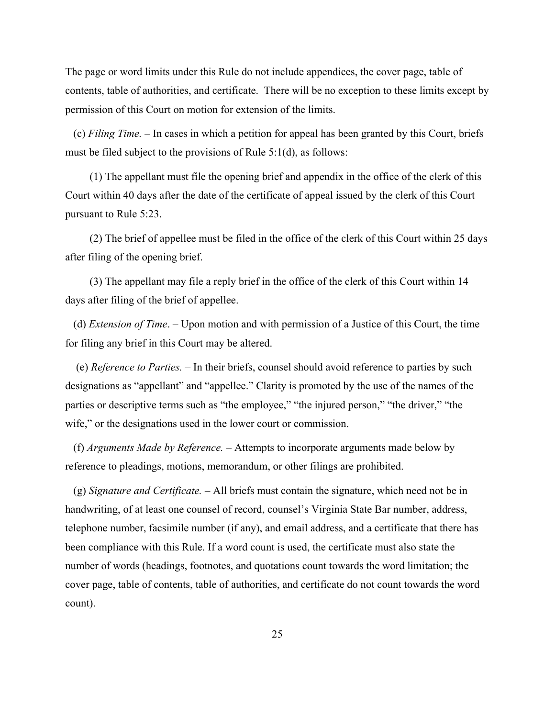The page or word limits under this Rule do not include appendices, the cover page, table of contents, table of authorities, and certificate. There will be no exception to these limits except by permission of this Court on motion for extension of the limits.

(c) *Filing Time. ‒* In cases in which a petition for appeal has been granted by this Court, briefs must be filed subject to the provisions of Rule 5:1(d), as follows:

(1) The appellant must file the opening brief and appendix in the office of the clerk of this Court within 40 days after the date of the certificate of appeal issued by the clerk of this Court pursuant to Rule 5:23.

(2) The brief of appellee must be filed in the office of the clerk of this Court within 25 days after filing of the opening brief.

(3) The appellant may file a reply brief in the office of the clerk of this Court within 14 days after filing of the brief of appellee.

(d) *Extension of Time*. – Upon motion and with permission of a Justice of this Court, the time for filing any brief in this Court may be altered.

 (e) *Reference to Parties. ‒* In their briefs, counsel should avoid reference to parties by such designations as "appellant" and "appellee." Clarity is promoted by the use of the names of the parties or descriptive terms such as "the employee," "the injured person," "the driver," "the wife," or the designations used in the lower court or commission.

(f) *Arguments Made by Reference. ‒* Attempts to incorporate arguments made below by reference to pleadings, motions, memorandum, or other filings are prohibited.

(g) *Signature and Certificate.* ‒ All briefs must contain the signature, which need not be in handwriting, of at least one counsel of record, counsel's Virginia State Bar number, address, telephone number, facsimile number (if any), and email address, and a certificate that there has been compliance with this Rule. If a word count is used, the certificate must also state the number of words (headings, footnotes, and quotations count towards the word limitation; the cover page, table of contents, table of authorities, and certificate do not count towards the word count).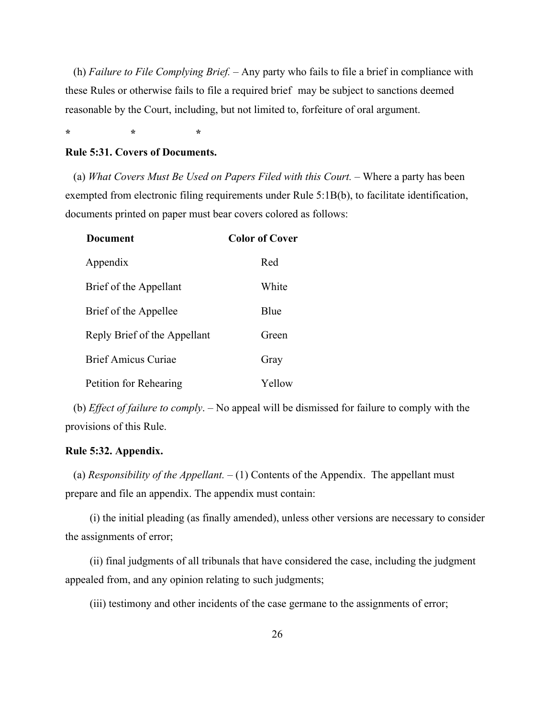(h) *Failure to File Complying Brief.* – Any party who fails to file a brief in compliance with these Rules or otherwise fails to file a required brief may be subject to sanctions deemed reasonable by the Court, including, but not limited to, forfeiture of oral argument.

**\* \* \*** 

## **Rule 5:31. Covers of Documents.**

(a) What Covers Must Be Used on Papers Filed with this Court. – Where a party has been exempted from electronic filing requirements under Rule 5:1B(b), to facilitate identification, documents printed on paper must bear covers colored as follows:

| <b>Document</b>              | Color of Cover |
|------------------------------|----------------|
| Appendix                     | Red            |
| Brief of the Appellant       | White          |
| Brief of the Appellee        | <b>B</b> lue   |
| Reply Brief of the Appellant | Green          |
| <b>Brief Amicus Curiae</b>   | Gray           |
| Petition for Rehearing       | Yellow         |

(b) *Effect of failure to comply*. ‒ No appeal will be dismissed for failure to comply with the provisions of this Rule.

# **Rule 5:32. Appendix.**

(a) *Responsibility of the Appellant.*  $- (1)$  Contents of the Appendix. The appellant must prepare and file an appendix. The appendix must contain:

(i) the initial pleading (as finally amended), unless other versions are necessary to consider the assignments of error;

(ii) final judgments of all tribunals that have considered the case, including the judgment appealed from, and any opinion relating to such judgments;

(iii) testimony and other incidents of the case germane to the assignments of error;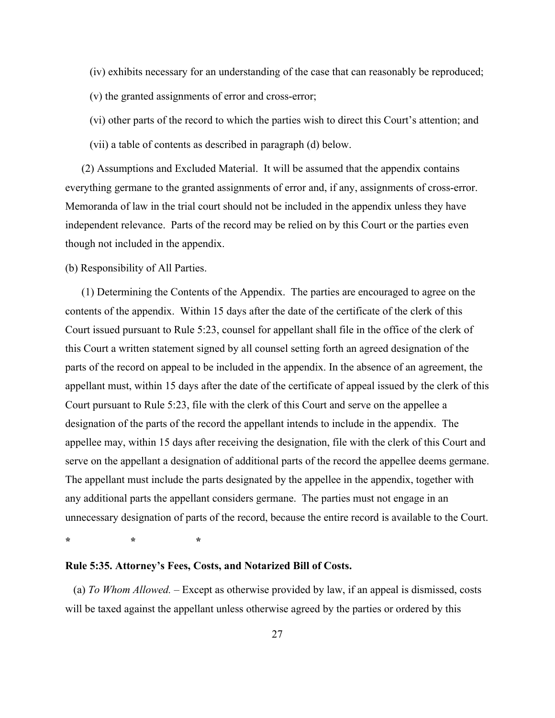(iv) exhibits necessary for an understanding of the case that can reasonably be reproduced;

(v) the granted assignments of error and cross-error;

(vi) other parts of the record to which the parties wish to direct this Court's attention; and

(vii) a table of contents as described in paragraph (d) below.

(2) Assumptions and Excluded Material. It will be assumed that the appendix contains everything germane to the granted assignments of error and, if any, assignments of cross-error. Memoranda of law in the trial court should not be included in the appendix unless they have independent relevance. Parts of the record may be relied on by this Court or the parties even though not included in the appendix.

(b) Responsibility of All Parties.

(1) Determining the Contents of the Appendix. The parties are encouraged to agree on the contents of the appendix. Within 15 days after the date of the certificate of the clerk of this Court issued pursuant to Rule 5:23, counsel for appellant shall file in the office of the clerk of this Court a written statement signed by all counsel setting forth an agreed designation of the parts of the record on appeal to be included in the appendix. In the absence of an agreement, the appellant must, within 15 days after the date of the certificate of appeal issued by the clerk of this Court pursuant to Rule 5:23, file with the clerk of this Court and serve on the appellee a designation of the parts of the record the appellant intends to include in the appendix. The appellee may, within 15 days after receiving the designation, file with the clerk of this Court and serve on the appellant a designation of additional parts of the record the appellee deems germane. The appellant must include the parts designated by the appellee in the appendix, together with any additional parts the appellant considers germane. The parties must not engage in an unnecessary designation of parts of the record, because the entire record is available to the Court.

**\* \* \*** 

## **Rule 5:35. Attorney's Fees, Costs, and Notarized Bill of Costs.**

(a) *To Whom Allowed. ‒* Except as otherwise provided by law, if an appeal is dismissed, costs will be taxed against the appellant unless otherwise agreed by the parties or ordered by this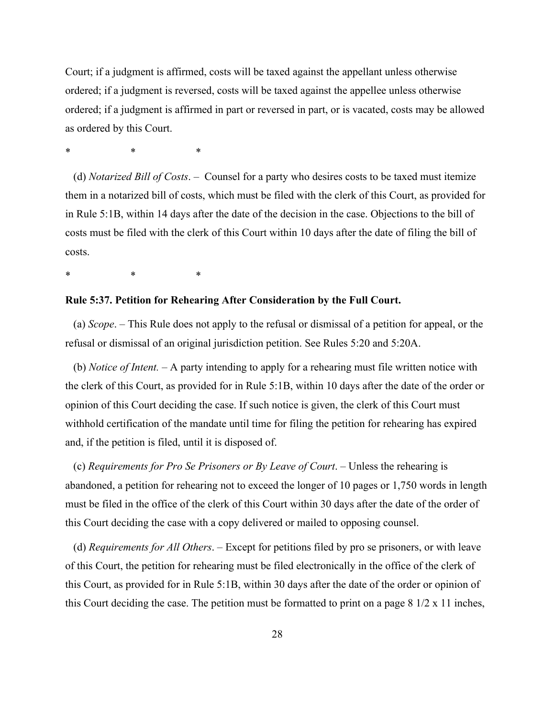Court; if a judgment is affirmed, costs will be taxed against the appellant unless otherwise ordered; if a judgment is reversed, costs will be taxed against the appellee unless otherwise ordered; if a judgment is affirmed in part or reversed in part, or is vacated, costs may be allowed as ordered by this Court.

\* \* \*

(d) *Notarized Bill of Costs*. ‒ Counsel for a party who desires costs to be taxed must itemize them in a notarized bill of costs, which must be filed with the clerk of this Court, as provided for in Rule 5:1B, within 14 days after the date of the decision in the case. Objections to the bill of costs must be filed with the clerk of this Court within 10 days after the date of filing the bill of costs.

\* \* \*

## **Rule 5:37. Petition for Rehearing After Consideration by the Full Court.**

(a) *Scope*. – This Rule does not apply to the refusal or dismissal of a petition for appeal, or the refusal or dismissal of an original jurisdiction petition. See Rules 5:20 and 5:20A.

(b) *Notice of Intent.* – A party intending to apply for a rehearing must file written notice with the clerk of this Court, as provided for in Rule 5:1B, within 10 days after the date of the order or opinion of this Court deciding the case. If such notice is given, the clerk of this Court must withhold certification of the mandate until time for filing the petition for rehearing has expired and, if the petition is filed, until it is disposed of.

(c) *Requirements for Pro Se Prisoners or By Leave of Court*. – Unless the rehearing is abandoned, a petition for rehearing not to exceed the longer of 10 pages or 1,750 words in length must be filed in the office of the clerk of this Court within 30 days after the date of the order of this Court deciding the case with a copy delivered or mailed to opposing counsel.

(d) *Requirements for All Others*. – Except for petitions filed by pro se prisoners, or with leave of this Court, the petition for rehearing must be filed electronically in the office of the clerk of this Court, as provided for in Rule 5:1B, within 30 days after the date of the order or opinion of this Court deciding the case. The petition must be formatted to print on a page 8 1/2 x 11 inches,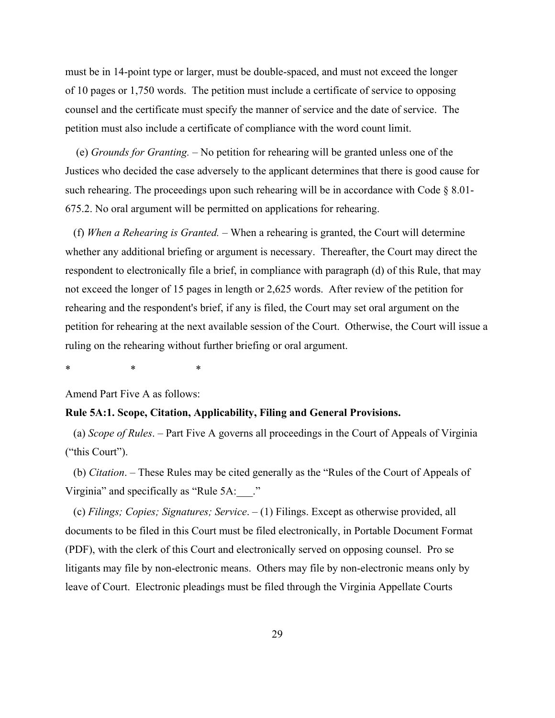must be in 14-point type or larger, must be double-spaced, and must not exceed the longer of 10 pages or 1,750 words. The petition must include a certificate of service to opposing counsel and the certificate must specify the manner of service and the date of service. The petition must also include a certificate of compliance with the word count limit.

 (e) *Grounds for Granting.* – No petition for rehearing will be granted unless one of the Justices who decided the case adversely to the applicant determines that there is good cause for such rehearing. The proceedings upon such rehearing will be in accordance with Code § 8.01- 675.2. No oral argument will be permitted on applications for rehearing.

(f) *When a Rehearing is Granted.* – When a rehearing is granted, the Court will determine whether any additional briefing or argument is necessary. Thereafter, the Court may direct the respondent to electronically file a brief, in compliance with paragraph (d) of this Rule, that may not exceed the longer of 15 pages in length or 2,625 words. After review of the petition for rehearing and the respondent's brief, if any is filed, the Court may set oral argument on the petition for rehearing at the next available session of the Court. Otherwise, the Court will issue a ruling on the rehearing without further briefing or oral argument.

\* \* \*

Amend Part Five A as follows:

#### **Rule 5A:1. Scope, Citation, Applicability, Filing and General Provisions.**

(a) *Scope of Rules*. ‒ Part Five A governs all proceedings in the Court of Appeals of Virginia ("this Court").

(b) *Citation*. ‒ These Rules may be cited generally as the "Rules of the Court of Appeals of Virginia" and specifically as "Rule 5A: ..."

(c) *Filings; Copies; Signatures; Service*. ‒ (1) Filings. Except as otherwise provided, all documents to be filed in this Court must be filed electronically, in Portable Document Format (PDF), with the clerk of this Court and electronically served on opposing counsel. Pro se litigants may file by non-electronic means. Others may file by non-electronic means only by leave of Court. Electronic pleadings must be filed through the Virginia Appellate Courts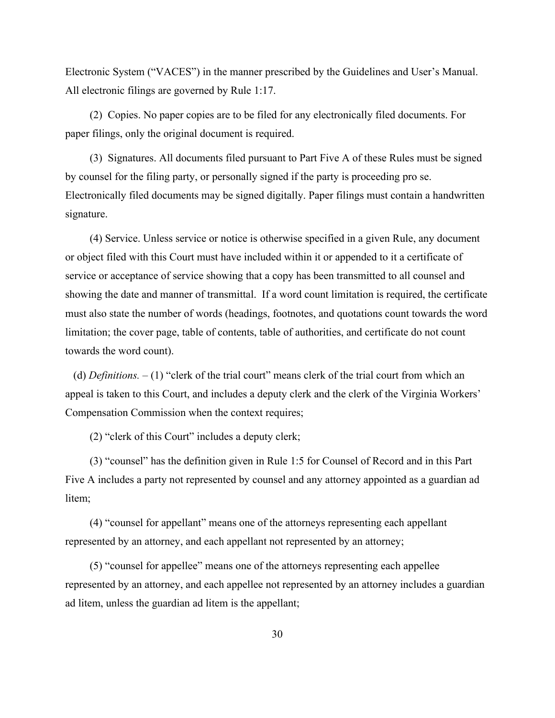Electronic System ("VACES") in the manner prescribed by the Guidelines and User's Manual. All electronic filings are governed by Rule 1:17.

(2) Copies. No paper copies are to be filed for any electronically filed documents. For paper filings, only the original document is required.

(3) Signatures. All documents filed pursuant to Part Five A of these Rules must be signed by counsel for the filing party, or personally signed if the party is proceeding pro se. Electronically filed documents may be signed digitally. Paper filings must contain a handwritten signature.

(4) Service. Unless service or notice is otherwise specified in a given Rule, any document or object filed with this Court must have included within it or appended to it a certificate of service or acceptance of service showing that a copy has been transmitted to all counsel and showing the date and manner of transmittal. If a word count limitation is required, the certificate must also state the number of words (headings, footnotes, and quotations count towards the word limitation; the cover page, table of contents, table of authorities, and certificate do not count towards the word count).

(d) *Definitions. ‒* (1) "clerk of the trial court" means clerk of the trial court from which an appeal is taken to this Court, and includes a deputy clerk and the clerk of the Virginia Workers' Compensation Commission when the context requires;

(2) "clerk of this Court" includes a deputy clerk;

(3) "counsel" has the definition given in Rule 1:5 for Counsel of Record and in this Part Five A includes a party not represented by counsel and any attorney appointed as a guardian ad litem;

(4) "counsel for appellant" means one of the attorneys representing each appellant represented by an attorney, and each appellant not represented by an attorney;

(5) "counsel for appellee" means one of the attorneys representing each appellee represented by an attorney, and each appellee not represented by an attorney includes a guardian ad litem, unless the guardian ad litem is the appellant;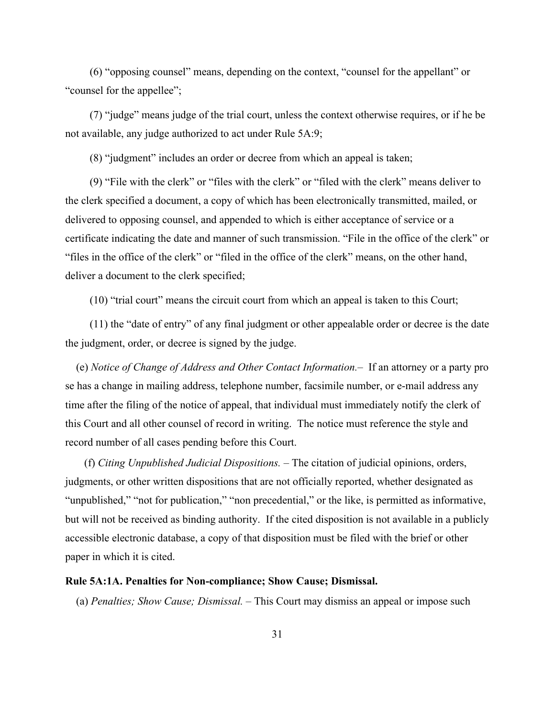(6) "opposing counsel" means, depending on the context, "counsel for the appellant" or "counsel for the appellee";

(7) "judge" means judge of the trial court, unless the context otherwise requires, or if he be not available, any judge authorized to act under Rule 5A:9;

(8) "judgment" includes an order or decree from which an appeal is taken;

(9) "File with the clerk" or "files with the clerk" or "filed with the clerk" means deliver to the clerk specified a document, a copy of which has been electronically transmitted, mailed, or delivered to opposing counsel, and appended to which is either acceptance of service or a certificate indicating the date and manner of such transmission. "File in the office of the clerk" or "files in the office of the clerk" or "filed in the office of the clerk" means, on the other hand, deliver a document to the clerk specified;

(10) "trial court" means the circuit court from which an appeal is taken to this Court;

(11) the "date of entry" of any final judgment or other appealable order or decree is the date the judgment, order, or decree is signed by the judge.

 (e) *Notice of Change of Address and Other Contact Information.‒* If an attorney or a party pro se has a change in mailing address, telephone number, facsimile number, or e-mail address any time after the filing of the notice of appeal, that individual must immediately notify the clerk of this Court and all other counsel of record in writing. The notice must reference the style and record number of all cases pending before this Court.

 (f) *Citing Unpublished Judicial Dispositions.* ‒ The citation of judicial opinions, orders, judgments, or other written dispositions that are not officially reported, whether designated as "unpublished," "not for publication," "non precedential," or the like, is permitted as informative, but will not be received as binding authority. If the cited disposition is not available in a publicly accessible electronic database, a copy of that disposition must be filed with the brief or other paper in which it is cited.

#### **Rule 5A:1A. Penalties for Non-compliance; Show Cause; Dismissal.**

(a) *Penalties; Show Cause; Dismissal.* – This Court may dismiss an appeal or impose such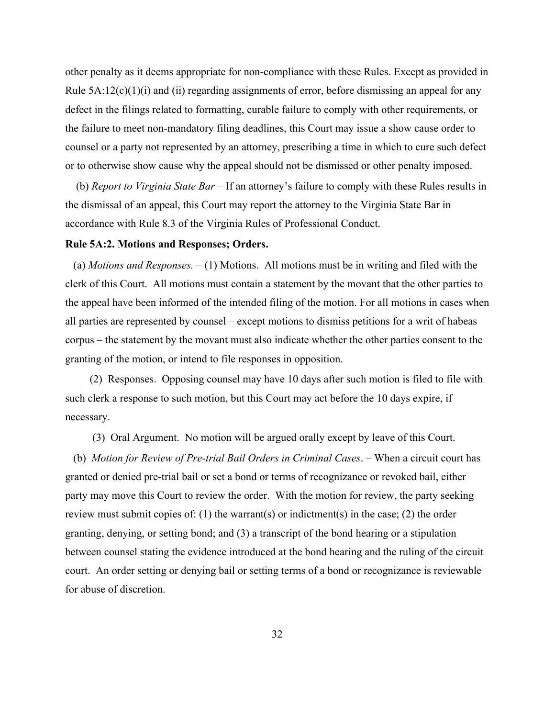other penalty as it deems appropriate for non-compliance with these Rules. Except as provided in Rule  $5A:12(c)(1)(i)$  and (ii) regarding assignments of error, before dismissing an appeal for any defect in the filings related to formatting, curable failure to comply with other requirements, or the failure to meet non-mandatory filing deadlines, this Court may issue a show cause order to counsel or a party not represented by an attorney, prescribing a time in which to cure such defect or to otherwise show cause why the appeal should not be dismissed or other penalty imposed.

 (b) *Report to Virginia State Bar* ‒ If an attorney's failure to comply with these Rules results in the dismissal of an appeal, this Court may report the attorney to the Virginia State Bar in accordance with Rule 8.3 of the Virginia Rules of Professional Conduct.

#### **Rule 5A:2. Motions and Responses; Orders.**

(a) *Motions and Responses. ‒* (1) Motions. All motions must be in writing and filed with the clerk of this Court. All motions must contain a statement by the movant that the other parties to the appeal have been informed of the intended filing of the motion. For all motions in cases when all parties are represented by counsel – except motions to dismiss petitions for a writ of habeas corpus – the statement by the movant must also indicate whether the other parties consent to the granting of the motion, or intend to file responses in opposition.

(2) Responses. Opposing counsel may have 10 days after such motion is filed to file with such clerk a response to such motion, but this Court may act before the 10 days expire, if necessary.

(3) Oral Argument. No motion will be argued orally except by leave of this Court.

(b) *Motion for Review of Pre-trial Bail Orders in Criminal Cases*. ‒ When a circuit court has granted or denied pre-trial bail or set a bond or terms of recognizance or revoked bail, either party may move this Court to review the order. With the motion for review, the party seeking review must submit copies of: (1) the warrant(s) or indictment(s) in the case; (2) the order granting, denying, or setting bond; and (3) a transcript of the bond hearing or a stipulation between counsel stating the evidence introduced at the bond hearing and the ruling of the circuit court. An order setting or denying bail or setting terms of a bond or recognizance is reviewable for abuse of discretion.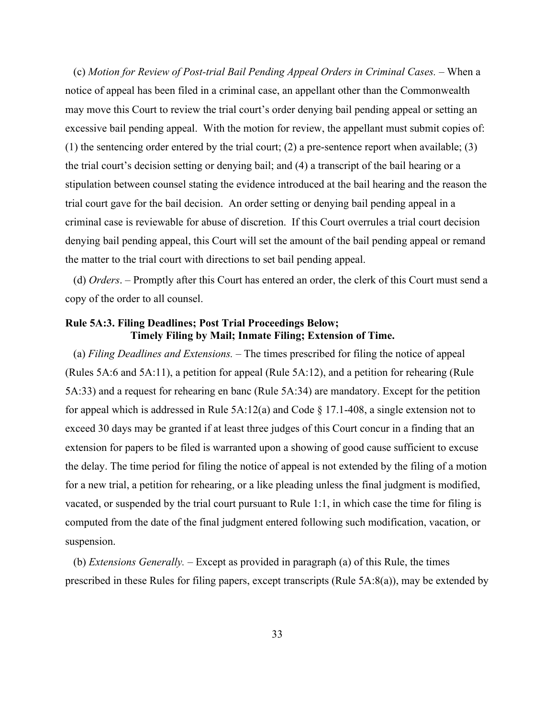(c) *Motion for Review of Post-trial Bail Pending Appeal Orders in Criminal Cases.* – When a notice of appeal has been filed in a criminal case, an appellant other than the Commonwealth may move this Court to review the trial court's order denying bail pending appeal or setting an excessive bail pending appeal. With the motion for review, the appellant must submit copies of: (1) the sentencing order entered by the trial court; (2) a pre-sentence report when available; (3) the trial court's decision setting or denying bail; and (4) a transcript of the bail hearing or a stipulation between counsel stating the evidence introduced at the bail hearing and the reason the trial court gave for the bail decision. An order setting or denying bail pending appeal in a criminal case is reviewable for abuse of discretion. If this Court overrules a trial court decision denying bail pending appeal, this Court will set the amount of the bail pending appeal or remand the matter to the trial court with directions to set bail pending appeal.

(d) *Orders*. ‒ Promptly after this Court has entered an order, the clerk of this Court must send a copy of the order to all counsel.

# **Rule 5A:3. Filing Deadlines; Post Trial Proceedings Below; Timely Filing by Mail; Inmate Filing; Extension of Time.**

(a) *Filing Deadlines and Extensions. ‒* The times prescribed for filing the notice of appeal (Rules 5A:6 and 5A:11), a petition for appeal (Rule 5A:12), and a petition for rehearing (Rule 5A:33) and a request for rehearing en banc (Rule 5A:34) are mandatory. Except for the petition for appeal which is addressed in Rule 5A:12(a) and Code § 17.1-408, a single extension not to exceed 30 days may be granted if at least three judges of this Court concur in a finding that an extension for papers to be filed is warranted upon a showing of good cause sufficient to excuse the delay. The time period for filing the notice of appeal is not extended by the filing of a motion for a new trial, a petition for rehearing, or a like pleading unless the final judgment is modified, vacated, or suspended by the trial court pursuant to Rule 1:1, in which case the time for filing is computed from the date of the final judgment entered following such modification, vacation, or suspension.

(b) *Extensions Generally. ‒* Except as provided in paragraph (a) of this Rule, the times prescribed in these Rules for filing papers, except transcripts (Rule 5A:8(a)), may be extended by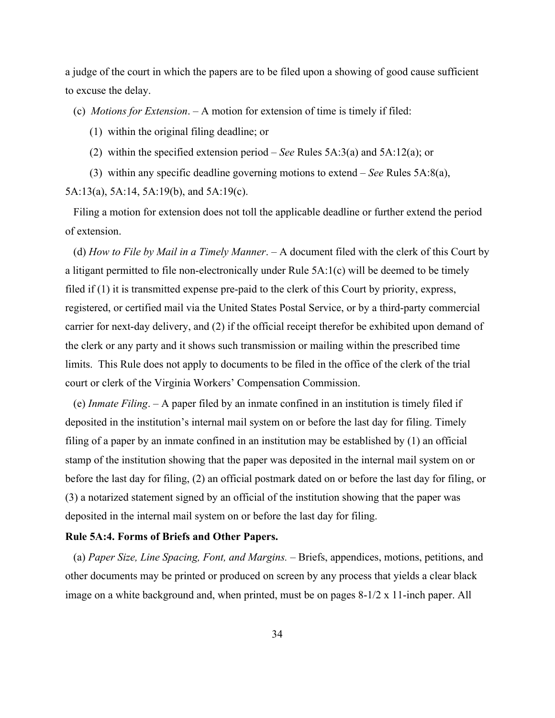a judge of the court in which the papers are to be filed upon a showing of good cause sufficient to excuse the delay.

(c) *Motions for Extension*. ‒ A motion for extension of time is timely if filed:

(1) within the original filing deadline; or

- (2) within the specified extension period *See* Rules 5A:3(a) and 5A:12(a); or
- (3) within any specific deadline governing motions to extend *See* Rules 5A:8(a), 5A:13(a), 5A:14, 5A:19(b), and 5A:19(c).

Filing a motion for extension does not toll the applicable deadline or further extend the period of extension.

(d) *How to File by Mail in a Timely Manner*. ‒ A document filed with the clerk of this Court by a litigant permitted to file non-electronically under Rule 5A:1(c) will be deemed to be timely filed if (1) it is transmitted expense pre-paid to the clerk of this Court by priority, express, registered, or certified mail via the United States Postal Service, or by a third-party commercial carrier for next-day delivery, and (2) if the official receipt therefor be exhibited upon demand of the clerk or any party and it shows such transmission or mailing within the prescribed time limits. This Rule does not apply to documents to be filed in the office of the clerk of the trial court or clerk of the Virginia Workers' Compensation Commission.

(e) *Inmate Filing*. ‒ A paper filed by an inmate confined in an institution is timely filed if deposited in the institution's internal mail system on or before the last day for filing. Timely filing of a paper by an inmate confined in an institution may be established by (1) an official stamp of the institution showing that the paper was deposited in the internal mail system on or before the last day for filing, (2) an official postmark dated on or before the last day for filing, or (3) a notarized statement signed by an official of the institution showing that the paper was deposited in the internal mail system on or before the last day for filing.

#### **Rule 5A:4. Forms of Briefs and Other Papers.**

(a) *Paper Size, Line Spacing, Font, and Margins.* ‒ Briefs, appendices, motions, petitions, and other documents may be printed or produced on screen by any process that yields a clear black image on a white background and, when printed, must be on pages 8-1/2 x 11-inch paper. All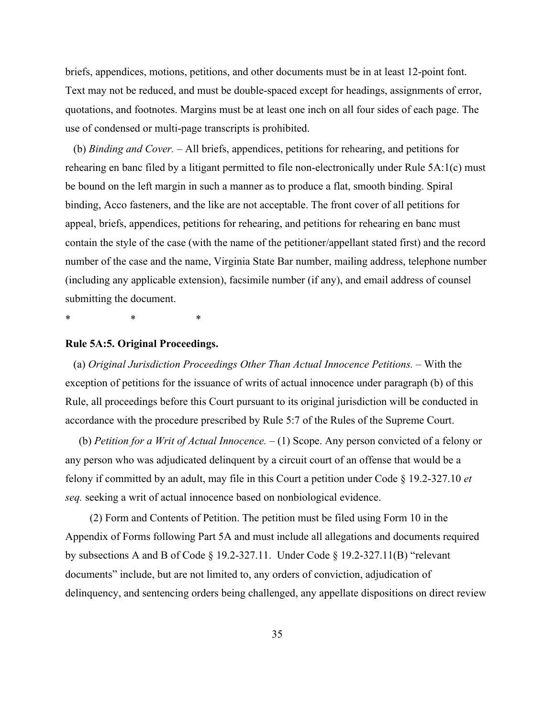briefs, appendices, motions, petitions, and other documents must be in at least 12-point font. Text may not be reduced, and must be double-spaced except for headings, assignments of error, quotations, and footnotes. Margins must be at least one inch on all four sides of each page. The use of condensed or multi-page transcripts is prohibited.

(b) *Binding and Cover.* ‒ All briefs, appendices, petitions for rehearing, and petitions for rehearing en banc filed by a litigant permitted to file non-electronically under Rule 5A:1(c) must be bound on the left margin in such a manner as to produce a flat, smooth binding. Spiral binding, Acco fasteners, and the like are not acceptable. The front cover of all petitions for appeal, briefs, appendices, petitions for rehearing, and petitions for rehearing en banc must contain the style of the case (with the name of the petitioner/appellant stated first) and the record number of the case and the name, Virginia State Bar number, mailing address, telephone number (including any applicable extension), facsimile number (if any), and email address of counsel submitting the document.

\* \* \*

## **Rule 5A:5. Original Proceedings.**

(a) *Original Jurisdiction Proceedings Other Than Actual Innocence Petitions.* – With the exception of petitions for the issuance of writs of actual innocence under paragraph (b) of this Rule, all proceedings before this Court pursuant to its original jurisdiction will be conducted in accordance with the procedure prescribed by Rule 5:7 of the Rules of the Supreme Court.

(b) *Petition for a Writ of Actual Innocence.*  $- (1)$  Scope. Any person convicted of a felony or any person who was adjudicated delinquent by a circuit court of an offense that would be a felony if committed by an adult, may file in this Court a petition under Code § 19.2-327.10 *et seq.* seeking a writ of actual innocence based on nonbiological evidence.

(2) Form and Contents of Petition. The petition must be filed using Form 10 in the Appendix of Forms following Part 5A and must include all allegations and documents required by subsections A and B of Code § 19.2-327.11. Under Code § 19.2-327.11(B) "relevant documents" include, but are not limited to, any orders of conviction, adjudication of delinquency, and sentencing orders being challenged, any appellate dispositions on direct review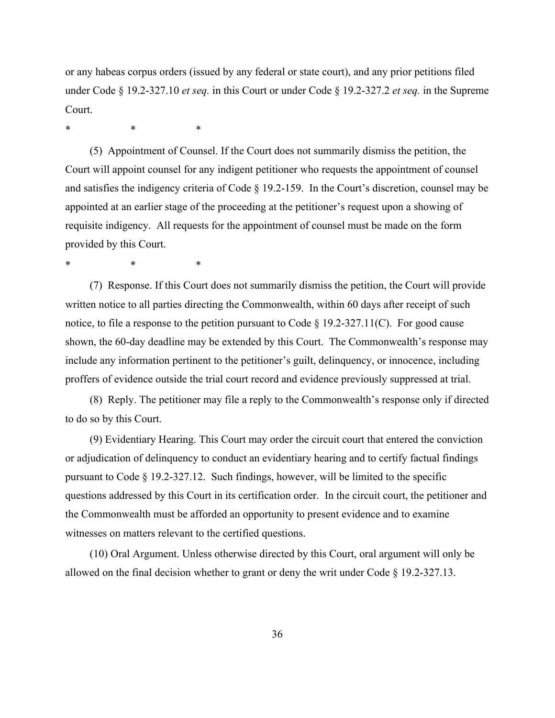or any habeas corpus orders (issued by any federal or state court), and any prior petitions filed under Code § 19.2-327.10 *et seq.* in this Court or under Code § 19.2-327.2 *et seq.* in the Supreme Court.

\* \* \*

(5) Appointment of Counsel. If the Court does not summarily dismiss the petition, the Court will appoint counsel for any indigent petitioner who requests the appointment of counsel and satisfies the indigency criteria of Code § 19.2-159. In the Court's discretion, counsel may be appointed at an earlier stage of the proceeding at the petitioner's request upon a showing of requisite indigency. All requests for the appointment of counsel must be made on the form provided by this Court.

\* \* \*

(7) Response. If this Court does not summarily dismiss the petition, the Court will provide written notice to all parties directing the Commonwealth, within 60 days after receipt of such notice, to file a response to the petition pursuant to Code  $\S$  19.2-327.11(C). For good cause shown, the 60-day deadline may be extended by this Court. The Commonwealth's response may include any information pertinent to the petitioner's guilt, delinquency, or innocence, including proffers of evidence outside the trial court record and evidence previously suppressed at trial.

(8) Reply. The petitioner may file a reply to the Commonwealth's response only if directed to do so by this Court.

(9) Evidentiary Hearing. This Court may order the circuit court that entered the conviction or adjudication of delinquency to conduct an evidentiary hearing and to certify factual findings pursuant to Code  $\S 19.2 - 327.12$ . Such findings, however, will be limited to the specific questions addressed by this Court in its certification order. In the circuit court, the petitioner and the Commonwealth must be afforded an opportunity to present evidence and to examine witnesses on matters relevant to the certified questions.

(10) Oral Argument. Unless otherwise directed by this Court, oral argument will only be allowed on the final decision whether to grant or deny the writ under Code § 19.2-327.13.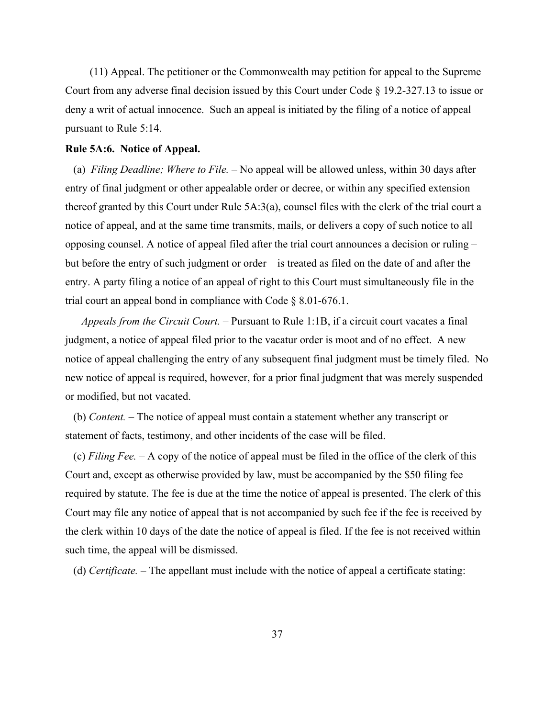(11) Appeal. The petitioner or the Commonwealth may petition for appeal to the Supreme Court from any adverse final decision issued by this Court under Code § 19.2-327.13 to issue or deny a writ of actual innocence. Such an appeal is initiated by the filing of a notice of appeal pursuant to Rule 5:14.

## **Rule 5A:6. Notice of Appeal.**

(a) *Filing Deadline; Where to File.* – No appeal will be allowed unless, within 30 days after entry of final judgment or other appealable order or decree, or within any specified extension thereof granted by this Court under Rule 5A:3(a), counsel files with the clerk of the trial court a notice of appeal, and at the same time transmits, mails, or delivers a copy of such notice to all opposing counsel. A notice of appeal filed after the trial court announces a decision or ruling – but before the entry of such judgment or order – is treated as filed on the date of and after the entry. A party filing a notice of an appeal of right to this Court must simultaneously file in the trial court an appeal bond in compliance with Code § 8.01-676.1.

*Appeals from the Circuit Court. ‒* Pursuant to Rule 1:1B, if a circuit court vacates a final judgment, a notice of appeal filed prior to the vacatur order is moot and of no effect. A new notice of appeal challenging the entry of any subsequent final judgment must be timely filed. No new notice of appeal is required, however, for a prior final judgment that was merely suspended or modified, but not vacated.

(b) *Content. ‒* The notice of appeal must contain a statement whether any transcript or statement of facts, testimony, and other incidents of the case will be filed.

(c) *Filing Fee. ‒* A copy of the notice of appeal must be filed in the office of the clerk of this Court and, except as otherwise provided by law, must be accompanied by the \$50 filing fee required by statute. The fee is due at the time the notice of appeal is presented. The clerk of this Court may file any notice of appeal that is not accompanied by such fee if the fee is received by the clerk within 10 days of the date the notice of appeal is filed. If the fee is not received within such time, the appeal will be dismissed.

(d) *Certificate.* – The appellant must include with the notice of appeal a certificate stating: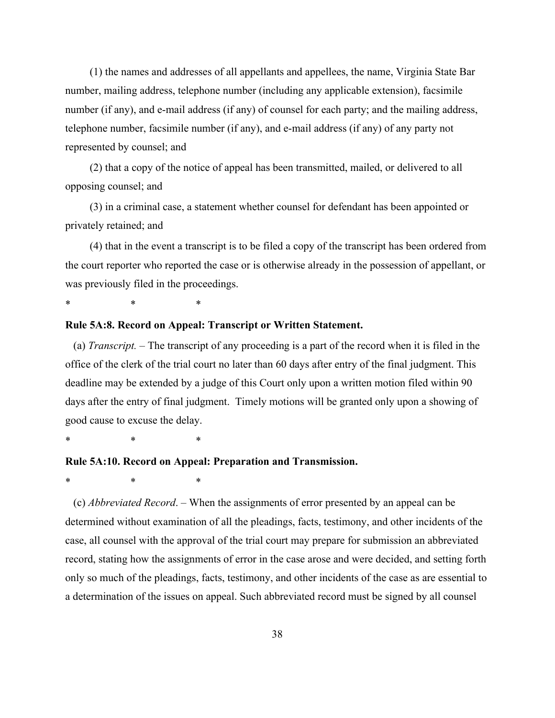(1) the names and addresses of all appellants and appellees, the name, Virginia State Bar number, mailing address, telephone number (including any applicable extension), facsimile number (if any), and e-mail address (if any) of counsel for each party; and the mailing address, telephone number, facsimile number (if any), and e-mail address (if any) of any party not represented by counsel; and

(2) that a copy of the notice of appeal has been transmitted, mailed, or delivered to all opposing counsel; and

(3) in a criminal case, a statement whether counsel for defendant has been appointed or privately retained; and

(4) that in the event a transcript is to be filed a copy of the transcript has been ordered from the court reporter who reported the case or is otherwise already in the possession of appellant, or was previously filed in the proceedings.

\* \* \*

#### **Rule 5A:8. Record on Appeal: Transcript or Written Statement.**

(a) *Transcript. ‒* The transcript of any proceeding is a part of the record when it is filed in the office of the clerk of the trial court no later than 60 days after entry of the final judgment. This deadline may be extended by a judge of this Court only upon a written motion filed within 90 days after the entry of final judgment. Timely motions will be granted only upon a showing of good cause to excuse the delay.

\* \* \*

## **Rule 5A:10. Record on Appeal: Preparation and Transmission.**

\* \* \*

(c) *Abbreviated Record*. ‒ When the assignments of error presented by an appeal can be determined without examination of all the pleadings, facts, testimony, and other incidents of the case, all counsel with the approval of the trial court may prepare for submission an abbreviated record, stating how the assignments of error in the case arose and were decided, and setting forth only so much of the pleadings, facts, testimony, and other incidents of the case as are essential to a determination of the issues on appeal. Such abbreviated record must be signed by all counsel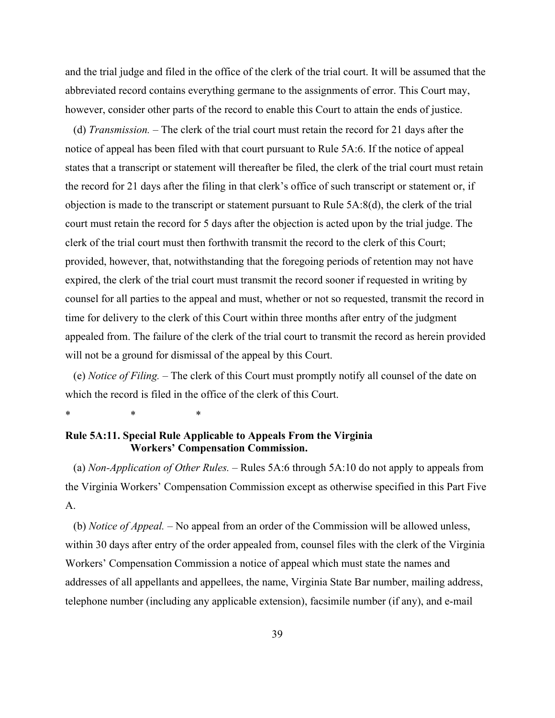and the trial judge and filed in the office of the clerk of the trial court. It will be assumed that the abbreviated record contains everything germane to the assignments of error. This Court may, however, consider other parts of the record to enable this Court to attain the ends of justice.

(d) *Transmission. ‒* The clerk of the trial court must retain the record for 21 days after the notice of appeal has been filed with that court pursuant to Rule 5A:6. If the notice of appeal states that a transcript or statement will thereafter be filed, the clerk of the trial court must retain the record for 21 days after the filing in that clerk's office of such transcript or statement or, if objection is made to the transcript or statement pursuant to Rule 5A:8(d), the clerk of the trial court must retain the record for 5 days after the objection is acted upon by the trial judge. The clerk of the trial court must then forthwith transmit the record to the clerk of this Court; provided, however, that, notwithstanding that the foregoing periods of retention may not have expired, the clerk of the trial court must transmit the record sooner if requested in writing by counsel for all parties to the appeal and must, whether or not so requested, transmit the record in time for delivery to the clerk of this Court within three months after entry of the judgment appealed from. The failure of the clerk of the trial court to transmit the record as herein provided will not be a ground for dismissal of the appeal by this Court.

(e) *Notice of Filing. ‒* The clerk of this Court must promptly notify all counsel of the date on which the record is filed in the office of the clerk of this Court.

\* \* \*

# **Rule 5A:11. Special Rule Applicable to Appeals From the Virginia Workers' Compensation Commission.**

(a) *Non-Application of Other Rules.* – Rules 5A:6 through 5A:10 do not apply to appeals from the Virginia Workers' Compensation Commission except as otherwise specified in this Part Five A.

(b) *Notice of Appeal. ‒* No appeal from an order of the Commission will be allowed unless, within 30 days after entry of the order appealed from, counsel files with the clerk of the Virginia Workers' Compensation Commission a notice of appeal which must state the names and addresses of all appellants and appellees, the name, Virginia State Bar number, mailing address, telephone number (including any applicable extension), facsimile number (if any), and e-mail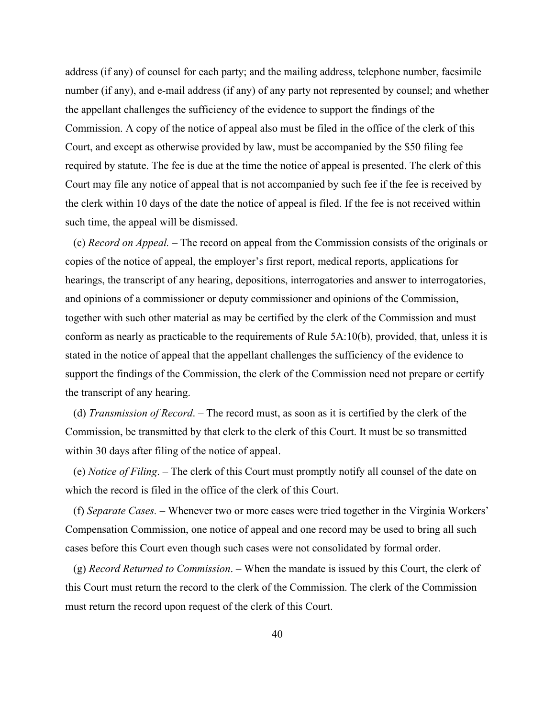address (if any) of counsel for each party; and the mailing address, telephone number, facsimile number (if any), and e-mail address (if any) of any party not represented by counsel; and whether the appellant challenges the sufficiency of the evidence to support the findings of the Commission. A copy of the notice of appeal also must be filed in the office of the clerk of this Court, and except as otherwise provided by law, must be accompanied by the \$50 filing fee required by statute. The fee is due at the time the notice of appeal is presented. The clerk of this Court may file any notice of appeal that is not accompanied by such fee if the fee is received by the clerk within 10 days of the date the notice of appeal is filed. If the fee is not received within such time, the appeal will be dismissed.

(c) *Record on Appeal. ‒* The record on appeal from the Commission consists of the originals or copies of the notice of appeal, the employer's first report, medical reports, applications for hearings, the transcript of any hearing, depositions, interrogatories and answer to interrogatories, and opinions of a commissioner or deputy commissioner and opinions of the Commission, together with such other material as may be certified by the clerk of the Commission and must conform as nearly as practicable to the requirements of Rule 5A:10(b), provided, that, unless it is stated in the notice of appeal that the appellant challenges the sufficiency of the evidence to support the findings of the Commission, the clerk of the Commission need not prepare or certify the transcript of any hearing.

(d) *Transmission of Record*. – The record must, as soon as it is certified by the clerk of the Commission, be transmitted by that clerk to the clerk of this Court. It must be so transmitted within 30 days after filing of the notice of appeal.

(e) *Notice of Filing*. ‒ The clerk of this Court must promptly notify all counsel of the date on which the record is filed in the office of the clerk of this Court.

(f) *Separate Cases. ‒* Whenever two or more cases were tried together in the Virginia Workers' Compensation Commission, one notice of appeal and one record may be used to bring all such cases before this Court even though such cases were not consolidated by formal order.

(g) *Record Returned to Commission*. ‒ When the mandate is issued by this Court, the clerk of this Court must return the record to the clerk of the Commission. The clerk of the Commission must return the record upon request of the clerk of this Court.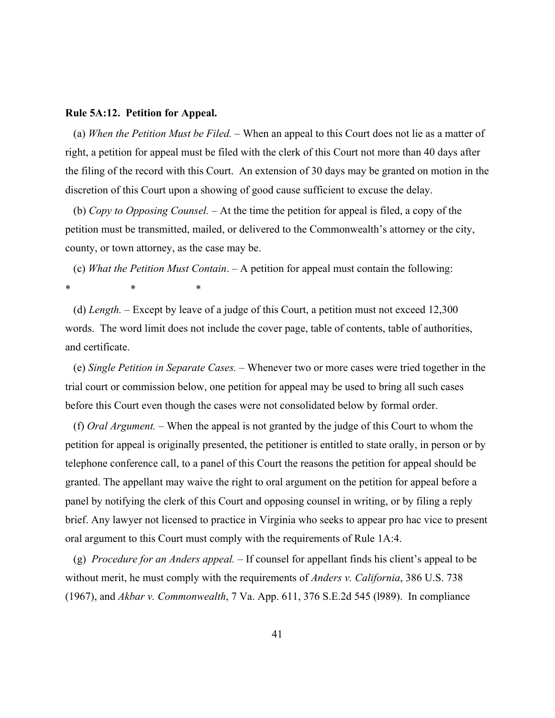#### **Rule 5A:12. Petition for Appeal.**

(a) When the Petition Must be Filed. – When an appeal to this Court does not lie as a matter of right, a petition for appeal must be filed with the clerk of this Court not more than 40 days after the filing of the record with this Court. An extension of 30 days may be granted on motion in the discretion of this Court upon a showing of good cause sufficient to excuse the delay.

(b) *Copy to Opposing Counsel.* – At the time the petition for appeal is filed, a copy of the petition must be transmitted, mailed, or delivered to the Commonwealth's attorney or the city, county, or town attorney, as the case may be.

(c) *What the Petition Must Contain*. ‒ A petition for appeal must contain the following: \* \* \*

(d) *Length.* – Except by leave of a judge of this Court, a petition must not exceed 12,300 words. The word limit does not include the cover page, table of contents, table of authorities, and certificate.

(e) *Single Petition in Separate Cases. ‒* Whenever two or more cases were tried together in the trial court or commission below, one petition for appeal may be used to bring all such cases before this Court even though the cases were not consolidated below by formal order.

(f) *Oral Argument. ‒* When the appeal is not granted by the judge of this Court to whom the petition for appeal is originally presented, the petitioner is entitled to state orally, in person or by telephone conference call, to a panel of this Court the reasons the petition for appeal should be granted. The appellant may waive the right to oral argument on the petition for appeal before a panel by notifying the clerk of this Court and opposing counsel in writing, or by filing a reply brief. Any lawyer not licensed to practice in Virginia who seeks to appear pro hac vice to present oral argument to this Court must comply with the requirements of Rule 1A:4.

(g) *Procedure for an Anders appeal. ‒* If counsel for appellant finds his client's appeal to be without merit, he must comply with the requirements of *Anders v. California*, 386 U.S. 738 (1967), and *Akbar v. Commonwealth*, 7 Va. App. 611, 376 S.E.2d 545 (l989). In compliance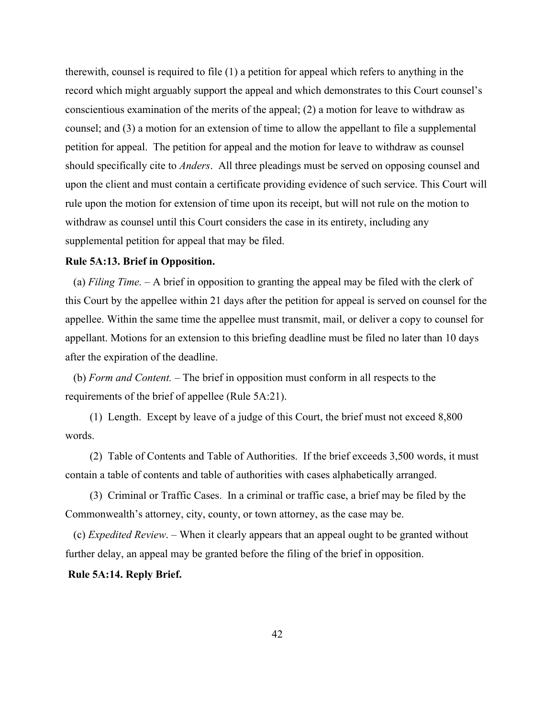therewith, counsel is required to file (1) a petition for appeal which refers to anything in the record which might arguably support the appeal and which demonstrates to this Court counsel's conscientious examination of the merits of the appeal; (2) a motion for leave to withdraw as counsel; and (3) a motion for an extension of time to allow the appellant to file a supplemental petition for appeal. The petition for appeal and the motion for leave to withdraw as counsel should specifically cite to *Anders*. All three pleadings must be served on opposing counsel and upon the client and must contain a certificate providing evidence of such service. This Court will rule upon the motion for extension of time upon its receipt, but will not rule on the motion to withdraw as counsel until this Court considers the case in its entirety, including any supplemental petition for appeal that may be filed.

## **Rule 5A:13. Brief in Opposition.**

(a) *Filing Time. ‒* A brief in opposition to granting the appeal may be filed with the clerk of this Court by the appellee within 21 days after the petition for appeal is served on counsel for the appellee. Within the same time the appellee must transmit, mail, or deliver a copy to counsel for appellant. Motions for an extension to this briefing deadline must be filed no later than 10 days after the expiration of the deadline.

(b) *Form and Content. ‒* The brief in opposition must conform in all respects to the requirements of the brief of appellee (Rule 5A:21).

(1) Length. Except by leave of a judge of this Court, the brief must not exceed 8,800 words.

(2) Table of Contents and Table of Authorities. If the brief exceeds 3,500 words, it must contain a table of contents and table of authorities with cases alphabetically arranged.

(3) Criminal or Traffic Cases. In a criminal or traffic case, a brief may be filed by the Commonwealth's attorney, city, county, or town attorney, as the case may be.

(c) *Expedited Review*. ‒ When it clearly appears that an appeal ought to be granted without further delay, an appeal may be granted before the filing of the brief in opposition.

## **Rule 5A:14. Reply Brief.**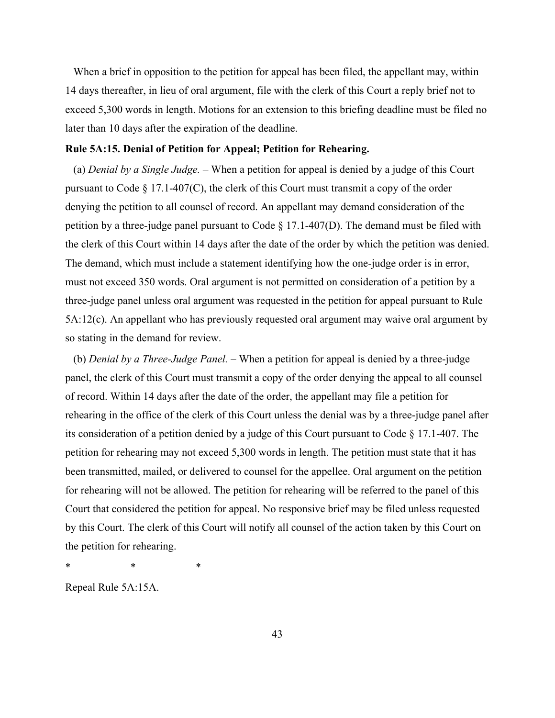When a brief in opposition to the petition for appeal has been filed, the appellant may, within 14 days thereafter, in lieu of oral argument, file with the clerk of this Court a reply brief not to exceed 5,300 words in length. Motions for an extension to this briefing deadline must be filed no later than 10 days after the expiration of the deadline.

## **Rule 5A:15. Denial of Petition for Appeal; Petition for Rehearing.**

(a) *Denial by a Single Judge.* – When a petition for appeal is denied by a judge of this Court pursuant to Code § 17.1-407(C), the clerk of this Court must transmit a copy of the order denying the petition to all counsel of record. An appellant may demand consideration of the petition by a three-judge panel pursuant to Code § 17.1-407(D). The demand must be filed with the clerk of this Court within 14 days after the date of the order by which the petition was denied. The demand, which must include a statement identifying how the one-judge order is in error, must not exceed 350 words. Oral argument is not permitted on consideration of a petition by a three-judge panel unless oral argument was requested in the petition for appeal pursuant to Rule 5A:12(c). An appellant who has previously requested oral argument may waive oral argument by so stating in the demand for review.

(b) *Denial by a Three-Judge Panel.* – When a petition for appeal is denied by a three-judge panel, the clerk of this Court must transmit a copy of the order denying the appeal to all counsel of record. Within 14 days after the date of the order, the appellant may file a petition for rehearing in the office of the clerk of this Court unless the denial was by a three-judge panel after its consideration of a petition denied by a judge of this Court pursuant to Code § 17.1-407. The petition for rehearing may not exceed 5,300 words in length. The petition must state that it has been transmitted, mailed, or delivered to counsel for the appellee. Oral argument on the petition for rehearing will not be allowed. The petition for rehearing will be referred to the panel of this Court that considered the petition for appeal. No responsive brief may be filed unless requested by this Court. The clerk of this Court will notify all counsel of the action taken by this Court on the petition for rehearing.

\* \* \*

Repeal Rule 5A:15A.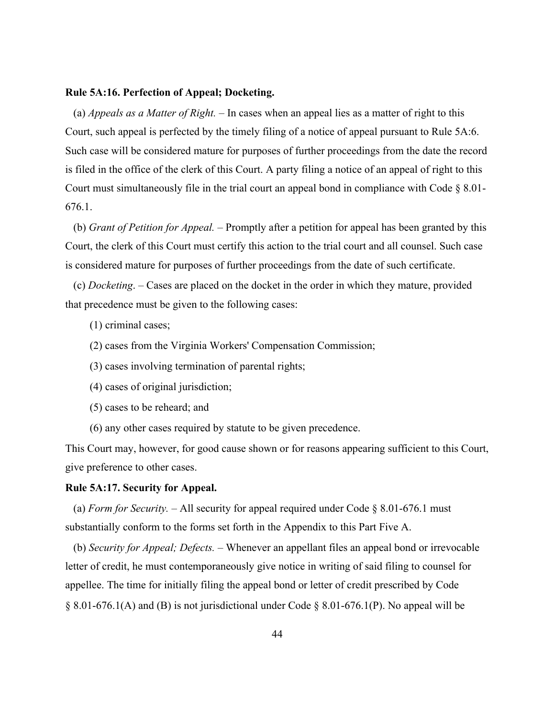#### **Rule 5A:16. Perfection of Appeal; Docketing.**

(a) *Appeals as a Matter of Right.* – In cases when an appeal lies as a matter of right to this Court, such appeal is perfected by the timely filing of a notice of appeal pursuant to Rule 5A:6. Such case will be considered mature for purposes of further proceedings from the date the record is filed in the office of the clerk of this Court. A party filing a notice of an appeal of right to this Court must simultaneously file in the trial court an appeal bond in compliance with Code § 8.01- 676.1.

(b) *Grant of Petition for Appeal. ‒* Promptly after a petition for appeal has been granted by this Court, the clerk of this Court must certify this action to the trial court and all counsel. Such case is considered mature for purposes of further proceedings from the date of such certificate.

(c) *Docketing*. ‒ Cases are placed on the docket in the order in which they mature, provided that precedence must be given to the following cases:

- (1) criminal cases;
- (2) cases from the Virginia Workers' Compensation Commission;
- (3) cases involving termination of parental rights;
- (4) cases of original jurisdiction;
- (5) cases to be reheard; and
- (6) any other cases required by statute to be given precedence.

This Court may, however, for good cause shown or for reasons appearing sufficient to this Court, give preference to other cases.

#### **Rule 5A:17. Security for Appeal.**

(a) *Form for Security.*  $-$  All security for appeal required under Code § 8.01-676.1 must substantially conform to the forms set forth in the Appendix to this Part Five A.

(b) *Security for Appeal; Defects.* – Whenever an appellant files an appeal bond or irrevocable letter of credit, he must contemporaneously give notice in writing of said filing to counsel for appellee. The time for initially filing the appeal bond or letter of credit prescribed by Code § 8.01-676.1(A) and (B) is not jurisdictional under Code § 8.01-676.1(P). No appeal will be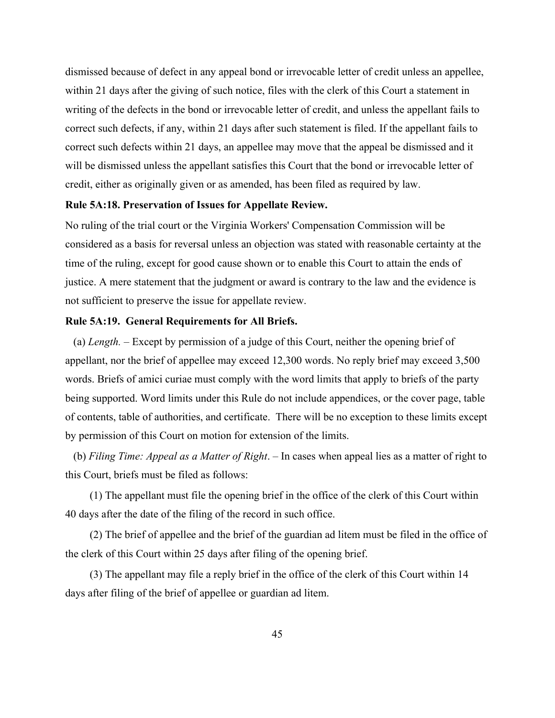dismissed because of defect in any appeal bond or irrevocable letter of credit unless an appellee, within 21 days after the giving of such notice, files with the clerk of this Court a statement in writing of the defects in the bond or irrevocable letter of credit, and unless the appellant fails to correct such defects, if any, within 21 days after such statement is filed. If the appellant fails to correct such defects within 21 days, an appellee may move that the appeal be dismissed and it will be dismissed unless the appellant satisfies this Court that the bond or irrevocable letter of credit, either as originally given or as amended, has been filed as required by law.

## **Rule 5A:18. Preservation of Issues for Appellate Review.**

No ruling of the trial court or the Virginia Workers' Compensation Commission will be considered as a basis for reversal unless an objection was stated with reasonable certainty at the time of the ruling, except for good cause shown or to enable this Court to attain the ends of justice. A mere statement that the judgment or award is contrary to the law and the evidence is not sufficient to preserve the issue for appellate review.

#### **Rule 5A:19. General Requirements for All Briefs.**

(a) *Length.* ‒ Except by permission of a judge of this Court, neither the opening brief of appellant, nor the brief of appellee may exceed 12,300 words. No reply brief may exceed 3,500 words. Briefs of amici curiae must comply with the word limits that apply to briefs of the party being supported. Word limits under this Rule do not include appendices, or the cover page, table of contents, table of authorities, and certificate. There will be no exception to these limits except by permission of this Court on motion for extension of the limits.

(b) *Filing Time: Appeal as a Matter of Right*. ‒ In cases when appeal lies as a matter of right to this Court, briefs must be filed as follows:

(1) The appellant must file the opening brief in the office of the clerk of this Court within 40 days after the date of the filing of the record in such office.

(2) The brief of appellee and the brief of the guardian ad litem must be filed in the office of the clerk of this Court within 25 days after filing of the opening brief.

(3) The appellant may file a reply brief in the office of the clerk of this Court within 14 days after filing of the brief of appellee or guardian ad litem.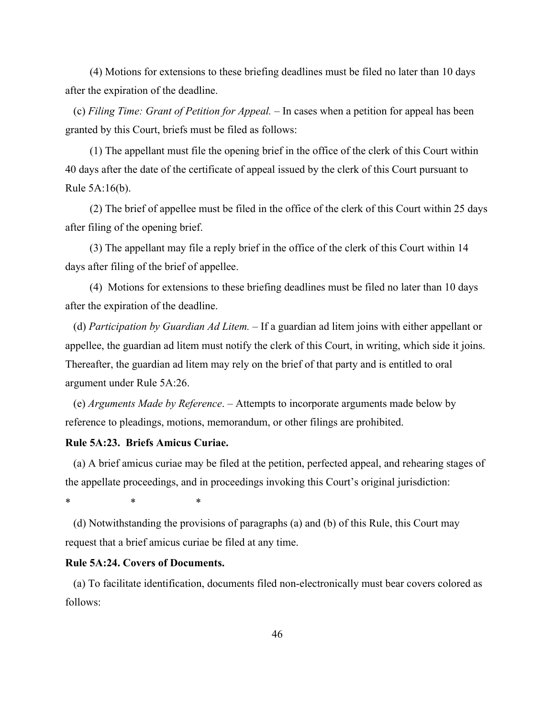(4) Motions for extensions to these briefing deadlines must be filed no later than 10 days after the expiration of the deadline.

(c) Filing Time: Grant of Petition for Appeal. – In cases when a petition for appeal has been granted by this Court, briefs must be filed as follows:

(1) The appellant must file the opening brief in the office of the clerk of this Court within 40 days after the date of the certificate of appeal issued by the clerk of this Court pursuant to Rule 5A:16(b).

(2) The brief of appellee must be filed in the office of the clerk of this Court within 25 days after filing of the opening brief.

(3) The appellant may file a reply brief in the office of the clerk of this Court within 14 days after filing of the brief of appellee.

(4) Motions for extensions to these briefing deadlines must be filed no later than 10 days after the expiration of the deadline.

(d) *Participation by Guardian Ad Litem. ‒* If a guardian ad litem joins with either appellant or appellee, the guardian ad litem must notify the clerk of this Court, in writing, which side it joins. Thereafter, the guardian ad litem may rely on the brief of that party and is entitled to oral argument under Rule 5A:26.

(e) *Arguments Made by Reference*. ‒ Attempts to incorporate arguments made below by reference to pleadings, motions, memorandum, or other filings are prohibited.

#### **Rule 5A:23. Briefs Amicus Curiae.**

(a) A brief amicus curiae may be filed at the petition, perfected appeal, and rehearing stages of the appellate proceedings, and in proceedings invoking this Court's original jurisdiction:

\* \* \*

(d) Notwithstanding the provisions of paragraphs (a) and (b) of this Rule, this Court may request that a brief amicus curiae be filed at any time.

## **Rule 5A:24. Covers of Documents.**

(a) To facilitate identification, documents filed non-electronically must bear covers colored as follows: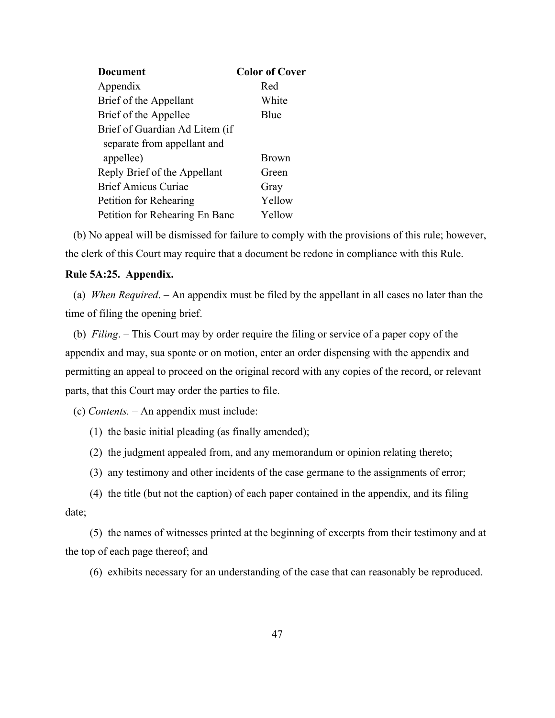| <b>Document</b>                | <b>Color of Cover</b> |
|--------------------------------|-----------------------|
| Appendix                       | Red                   |
| Brief of the Appellant         | White                 |
| Brief of the Appellee          | Blue                  |
| Brief of Guardian Ad Litem (if |                       |
| separate from appellant and    |                       |
| appellee)                      | Brown                 |
| Reply Brief of the Appellant   | Green                 |
| <b>Brief Amicus Curiae</b>     | Gray                  |
| Petition for Rehearing         | Yellow                |
| Petition for Rehearing En Banc | Yellow                |

(b) No appeal will be dismissed for failure to comply with the provisions of this rule; however, the clerk of this Court may require that a document be redone in compliance with this Rule.

# **Rule 5A:25. Appendix.**

(a) *When Required*. ‒ An appendix must be filed by the appellant in all cases no later than the time of filing the opening brief.

(b) *Filing*. ‒ This Court may by order require the filing or service of a paper copy of the appendix and may, sua sponte or on motion, enter an order dispensing with the appendix and permitting an appeal to proceed on the original record with any copies of the record, or relevant parts, that this Court may order the parties to file.

(c) *Contents. ‒* An appendix must include:

- (1) the basic initial pleading (as finally amended);
- (2) the judgment appealed from, and any memorandum or opinion relating thereto;
- (3) any testimony and other incidents of the case germane to the assignments of error;

(4) the title (but not the caption) of each paper contained in the appendix, and its filing date;

(5) the names of witnesses printed at the beginning of excerpts from their testimony and at the top of each page thereof; and

(6) exhibits necessary for an understanding of the case that can reasonably be reproduced.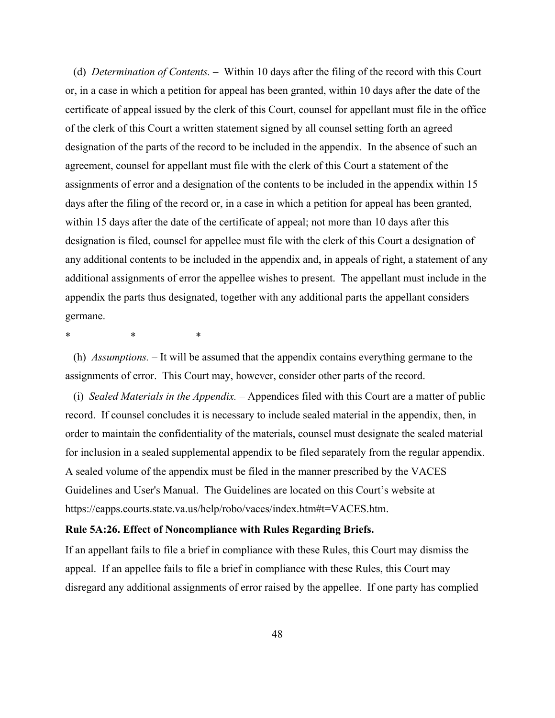(d) *Determination of Contents. ‒* Within 10 days after the filing of the record with this Court or, in a case in which a petition for appeal has been granted, within 10 days after the date of the certificate of appeal issued by the clerk of this Court, counsel for appellant must file in the office of the clerk of this Court a written statement signed by all counsel setting forth an agreed designation of the parts of the record to be included in the appendix. In the absence of such an agreement, counsel for appellant must file with the clerk of this Court a statement of the assignments of error and a designation of the contents to be included in the appendix within 15 days after the filing of the record or, in a case in which a petition for appeal has been granted, within 15 days after the date of the certificate of appeal; not more than 10 days after this designation is filed, counsel for appellee must file with the clerk of this Court a designation of any additional contents to be included in the appendix and, in appeals of right, a statement of any additional assignments of error the appellee wishes to present. The appellant must include in the appendix the parts thus designated, together with any additional parts the appellant considers germane.

\* \* \*

(h) *Assumptions. ‒* It will be assumed that the appendix contains everything germane to the assignments of error. This Court may, however, consider other parts of the record.

(i) *Sealed Materials in the Appendix. ‒* Appendices filed with this Court are a matter of public record. If counsel concludes it is necessary to include sealed material in the appendix, then, in order to maintain the confidentiality of the materials, counsel must designate the sealed material for inclusion in a sealed supplemental appendix to be filed separately from the regular appendix. A sealed volume of the appendix must be filed in the manner prescribed by the VACES Guidelines and User's Manual. The Guidelines are located on this Court's website at https://eapps.courts.state.va.us/help/robo/vaces/index.htm#t=VACES.htm.

## **Rule 5A:26. Effect of Noncompliance with Rules Regarding Briefs.**

If an appellant fails to file a brief in compliance with these Rules, this Court may dismiss the appeal. If an appellee fails to file a brief in compliance with these Rules, this Court may disregard any additional assignments of error raised by the appellee. If one party has complied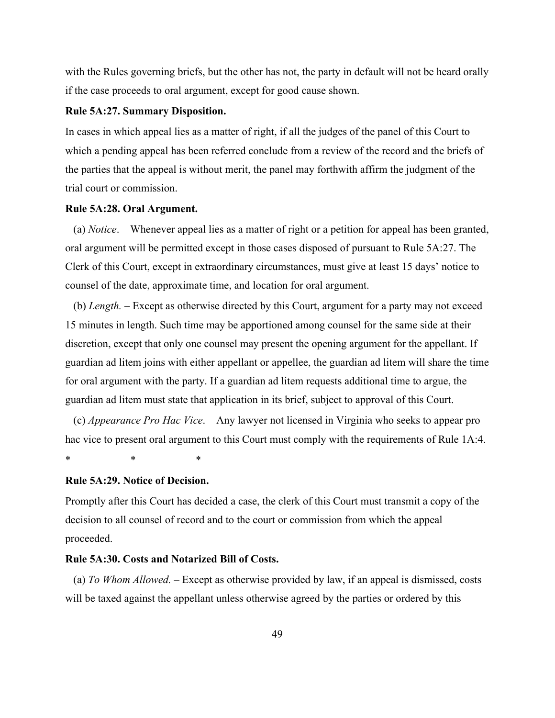with the Rules governing briefs, but the other has not, the party in default will not be heard orally if the case proceeds to oral argument, except for good cause shown.

### **Rule 5A:27. Summary Disposition.**

In cases in which appeal lies as a matter of right, if all the judges of the panel of this Court to which a pending appeal has been referred conclude from a review of the record and the briefs of the parties that the appeal is without merit, the panel may forthwith affirm the judgment of the trial court or commission.

## **Rule 5A:28. Oral Argument.**

(a) *Notice*. ‒ Whenever appeal lies as a matter of right or a petition for appeal has been granted, oral argument will be permitted except in those cases disposed of pursuant to Rule 5A:27. The Clerk of this Court, except in extraordinary circumstances, must give at least 15 days' notice to counsel of the date, approximate time, and location for oral argument.

(b) *Length.* – Except as otherwise directed by this Court, argument for a party may not exceed 15 minutes in length. Such time may be apportioned among counsel for the same side at their discretion, except that only one counsel may present the opening argument for the appellant. If guardian ad litem joins with either appellant or appellee, the guardian ad litem will share the time for oral argument with the party. If a guardian ad litem requests additional time to argue, the guardian ad litem must state that application in its brief, subject to approval of this Court.

(c) *Appearance Pro Hac Vice*. ‒ Any lawyer not licensed in Virginia who seeks to appear pro hac vice to present oral argument to this Court must comply with the requirements of Rule 1A:4.

\* \* \*

#### **Rule 5A:29. Notice of Decision.**

Promptly after this Court has decided a case, the clerk of this Court must transmit a copy of the decision to all counsel of record and to the court or commission from which the appeal proceeded.

# **Rule 5A:30. Costs and Notarized Bill of Costs.**

(a) *To Whom Allowed. ‒* Except as otherwise provided by law, if an appeal is dismissed, costs will be taxed against the appellant unless otherwise agreed by the parties or ordered by this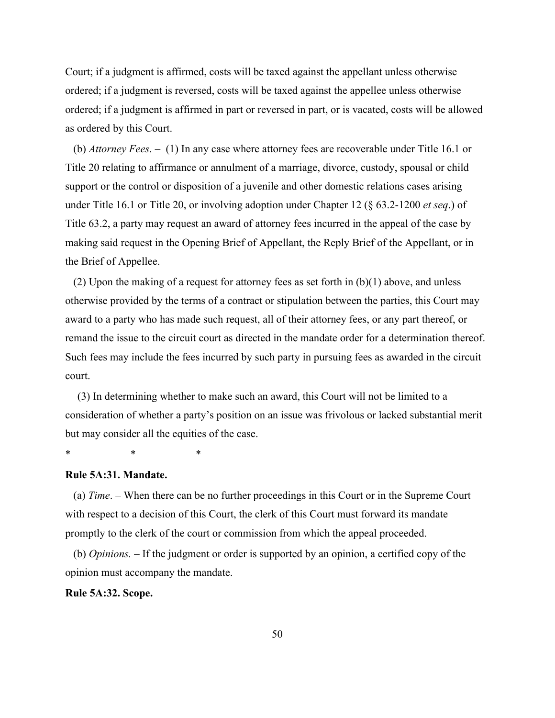Court; if a judgment is affirmed, costs will be taxed against the appellant unless otherwise ordered; if a judgment is reversed, costs will be taxed against the appellee unless otherwise ordered; if a judgment is affirmed in part or reversed in part, or is vacated, costs will be allowed as ordered by this Court.

(b) *Attorney Fees. ‒* (1) In any case where attorney fees are recoverable under Title 16.1 or Title 20 relating to affirmance or annulment of a marriage, divorce, custody, spousal or child support or the control or disposition of a juvenile and other domestic relations cases arising under Title 16.1 or Title 20, or involving adoption under Chapter 12 (§ 63.2-1200 *et seq*.) of Title 63.2, a party may request an award of attorney fees incurred in the appeal of the case by making said request in the Opening Brief of Appellant, the Reply Brief of the Appellant, or in the Brief of Appellee.

(2) Upon the making of a request for attorney fees as set forth in  $(b)(1)$  above, and unless otherwise provided by the terms of a contract or stipulation between the parties, this Court may award to a party who has made such request, all of their attorney fees, or any part thereof, or remand the issue to the circuit court as directed in the mandate order for a determination thereof. Such fees may include the fees incurred by such party in pursuing fees as awarded in the circuit court.

(3) In determining whether to make such an award, this Court will not be limited to a consideration of whether a party's position on an issue was frivolous or lacked substantial merit but may consider all the equities of the case.

\* \* \*

#### **Rule 5A:31. Mandate.**

(a) *Time*. ‒ When there can be no further proceedings in this Court or in the Supreme Court with respect to a decision of this Court, the clerk of this Court must forward its mandate promptly to the clerk of the court or commission from which the appeal proceeded.

(b) *Opinions. ‒* If the judgment or order is supported by an opinion, a certified copy of the opinion must accompany the mandate.

#### **Rule 5A:32. Scope.**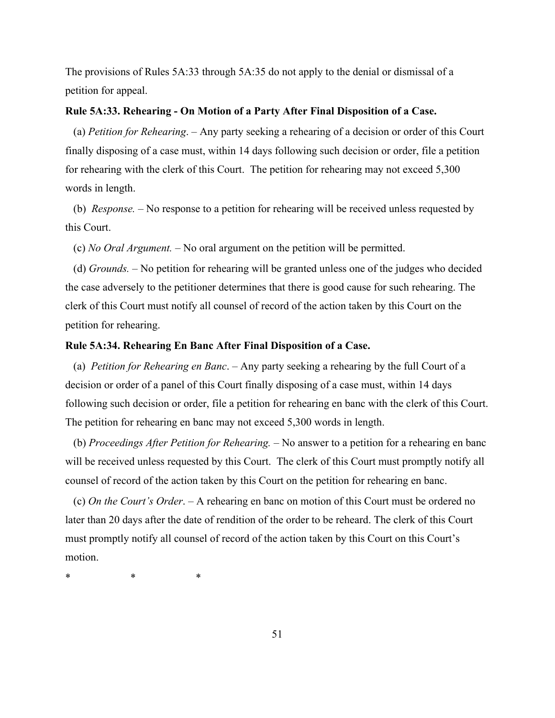The provisions of Rules 5A:33 through 5A:35 do not apply to the denial or dismissal of a petition for appeal.

### **Rule 5A:33. Rehearing - On Motion of a Party After Final Disposition of a Case.**

(a) *Petition for Rehearing*. ‒ Any party seeking a rehearing of a decision or order of this Court finally disposing of a case must, within 14 days following such decision or order, file a petition for rehearing with the clerk of this Court. The petition for rehearing may not exceed 5,300 words in length.

(b) *Response.* ‒ No response to a petition for rehearing will be received unless requested by this Court.

(c) *No Oral Argument.* ‒ No oral argument on the petition will be permitted.

(d) *Grounds.* ‒ No petition for rehearing will be granted unless one of the judges who decided the case adversely to the petitioner determines that there is good cause for such rehearing. The clerk of this Court must notify all counsel of record of the action taken by this Court on the petition for rehearing.

#### **Rule 5A:34. Rehearing En Banc After Final Disposition of a Case.**

(a) *Petition for Rehearing en Banc*. ‒ Any party seeking a rehearing by the full Court of a decision or order of a panel of this Court finally disposing of a case must, within 14 days following such decision or order, file a petition for rehearing en banc with the clerk of this Court. The petition for rehearing en banc may not exceed 5,300 words in length.

(b) *Proceedings After Petition for Rehearing.* ‒ No answer to a petition for a rehearing en banc will be received unless requested by this Court. The clerk of this Court must promptly notify all counsel of record of the action taken by this Court on the petition for rehearing en banc.

(c) *On the Court's Order*. ‒ A rehearing en banc on motion of this Court must be ordered no later than 20 days after the date of rendition of the order to be reheard. The clerk of this Court must promptly notify all counsel of record of the action taken by this Court on this Court's motion.

\* \* \*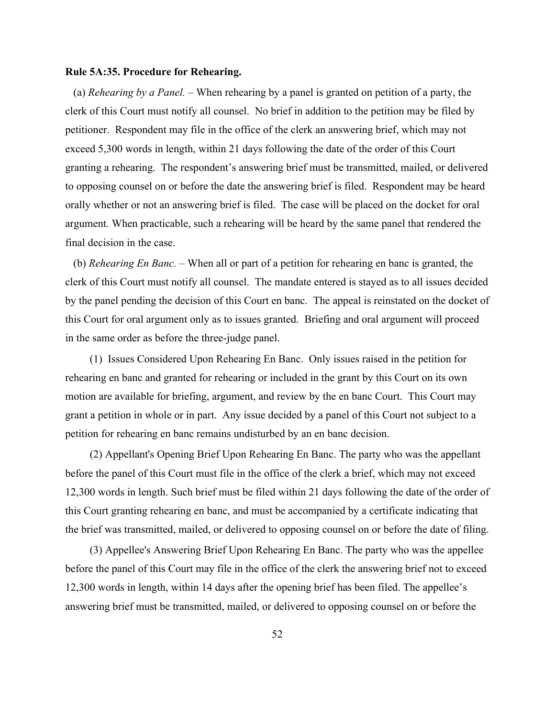#### **Rule 5A:35. Procedure for Rehearing.**

(a) *Rehearing by a Panel.* – When rehearing by a panel is granted on petition of a party, the clerk of this Court must notify all counsel. No brief in addition to the petition may be filed by petitioner. Respondent may file in the office of the clerk an answering brief, which may not exceed 5,300 words in length, within 21 days following the date of the order of this Court granting a rehearing. The respondent's answering brief must be transmitted, mailed, or delivered to opposing counsel on or before the date the answering brief is filed. Respondent may be heard orally whether or not an answering brief is filed. The case will be placed on the docket for oral argument*.* When practicable, such a rehearing will be heard by the same panel that rendered the final decision in the case.

(b) *Rehearing En Banc. ‒* When all or part of a petition for rehearing en banc is granted, the clerk of this Court must notify all counsel. The mandate entered is stayed as to all issues decided by the panel pending the decision of this Court en banc. The appeal is reinstated on the docket of this Court for oral argument only as to issues granted. Briefing and oral argument will proceed in the same order as before the three-judge panel.

(1) Issues Considered Upon Rehearing En Banc. Only issues raised in the petition for rehearing en banc and granted for rehearing or included in the grant by this Court on its own motion are available for briefing, argument, and review by the en banc Court. This Court may grant a petition in whole or in part. Any issue decided by a panel of this Court not subject to a petition for rehearing en banc remains undisturbed by an en banc decision.

(2) Appellant's Opening Brief Upon Rehearing En Banc. The party who was the appellant before the panel of this Court must file in the office of the clerk a brief, which may not exceed 12,300 words in length. Such brief must be filed within 21 days following the date of the order of this Court granting rehearing en banc, and must be accompanied by a certificate indicating that the brief was transmitted, mailed, or delivered to opposing counsel on or before the date of filing.

(3) Appellee's Answering Brief Upon Rehearing En Banc. The party who was the appellee before the panel of this Court may file in the office of the clerk the answering brief not to exceed 12,300 words in length, within 14 days after the opening brief has been filed. The appellee's answering brief must be transmitted, mailed, or delivered to opposing counsel on or before the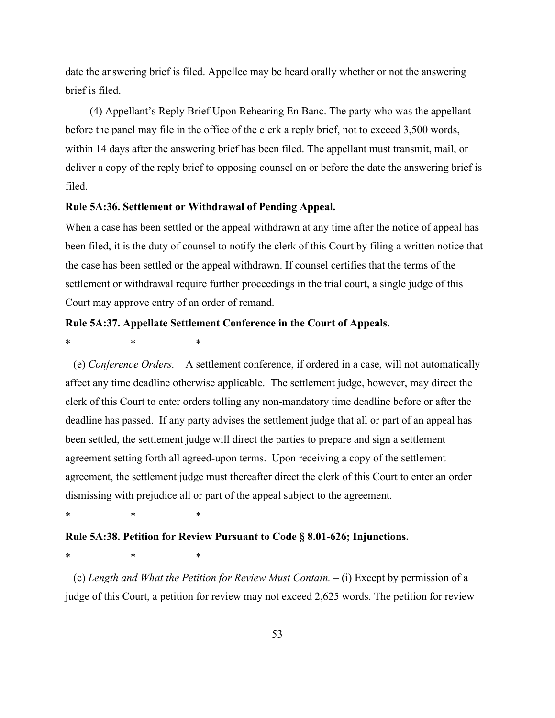date the answering brief is filed. Appellee may be heard orally whether or not the answering brief is filed.

(4) Appellant's Reply Brief Upon Rehearing En Banc. The party who was the appellant before the panel may file in the office of the clerk a reply brief, not to exceed 3,500 words, within 14 days after the answering brief has been filed. The appellant must transmit, mail, or deliver a copy of the reply brief to opposing counsel on or before the date the answering brief is filed.

## **Rule 5A:36. Settlement or Withdrawal of Pending Appeal.**

When a case has been settled or the appeal withdrawn at any time after the notice of appeal has been filed, it is the duty of counsel to notify the clerk of this Court by filing a written notice that the case has been settled or the appeal withdrawn. If counsel certifies that the terms of the settlement or withdrawal require further proceedings in the trial court, a single judge of this Court may approve entry of an order of remand.

#### **Rule 5A:37. Appellate Settlement Conference in the Court of Appeals.**

\* \* \*

(e) *Conference Orders.* ‒ A settlement conference, if ordered in a case, will not automatically affect any time deadline otherwise applicable. The settlement judge, however, may direct the clerk of this Court to enter orders tolling any non-mandatory time deadline before or after the deadline has passed. If any party advises the settlement judge that all or part of an appeal has been settled, the settlement judge will direct the parties to prepare and sign a settlement agreement setting forth all agreed-upon terms. Upon receiving a copy of the settlement agreement, the settlement judge must thereafter direct the clerk of this Court to enter an order dismissing with prejudice all or part of the appeal subject to the agreement.

\* \* \*

## **Rule 5A:38. Petition for Review Pursuant to Code § 8.01-626; Injunctions.**

\* \* \*

(c) *Length and What the Petition for Review Must Contain.*  $-$  (i) Except by permission of a judge of this Court, a petition for review may not exceed 2,625 words. The petition for review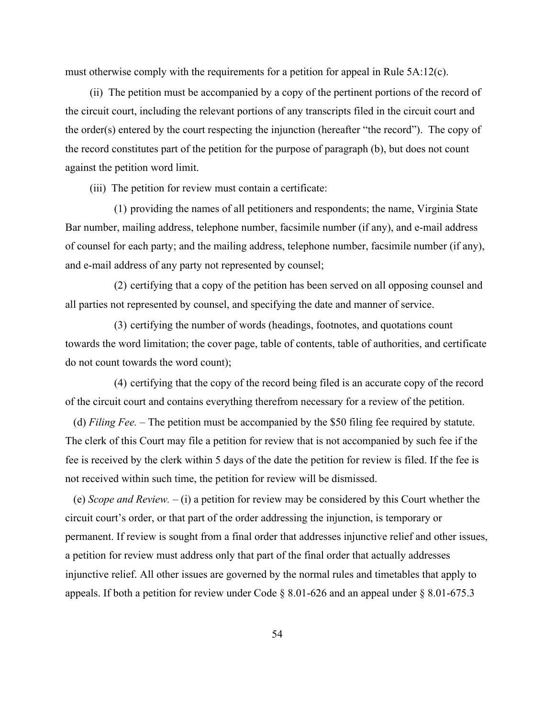must otherwise comply with the requirements for a petition for appeal in Rule  $5A:12(c)$ .

(ii) The petition must be accompanied by a copy of the pertinent portions of the record of the circuit court, including the relevant portions of any transcripts filed in the circuit court and the order(s) entered by the court respecting the injunction (hereafter "the record"). The copy of the record constitutes part of the petition for the purpose of paragraph (b), but does not count against the petition word limit.

(iii) The petition for review must contain a certificate:

(1) providing the names of all petitioners and respondents; the name, Virginia State Bar number, mailing address, telephone number, facsimile number (if any), and e-mail address of counsel for each party; and the mailing address, telephone number, facsimile number (if any), and e-mail address of any party not represented by counsel;

(2) certifying that a copy of the petition has been served on all opposing counsel and all parties not represented by counsel, and specifying the date and manner of service.

(3) certifying the number of words (headings, footnotes, and quotations count towards the word limitation; the cover page, table of contents, table of authorities, and certificate do not count towards the word count);

(4) certifying that the copy of the record being filed is an accurate copy of the record of the circuit court and contains everything therefrom necessary for a review of the petition.

(d) *Filing Fee.* – The petition must be accompanied by the \$50 filing fee required by statute. The clerk of this Court may file a petition for review that is not accompanied by such fee if the fee is received by the clerk within 5 days of the date the petition for review is filed. If the fee is not received within such time, the petition for review will be dismissed.

(e) *Scope and Review.* ‒ (i) a petition for review may be considered by this Court whether the circuit court's order, or that part of the order addressing the injunction, is temporary or permanent. If review is sought from a final order that addresses injunctive relief and other issues, a petition for review must address only that part of the final order that actually addresses injunctive relief. All other issues are governed by the normal rules and timetables that apply to appeals. If both a petition for review under Code § 8.01-626 and an appeal under § 8.01-675.3